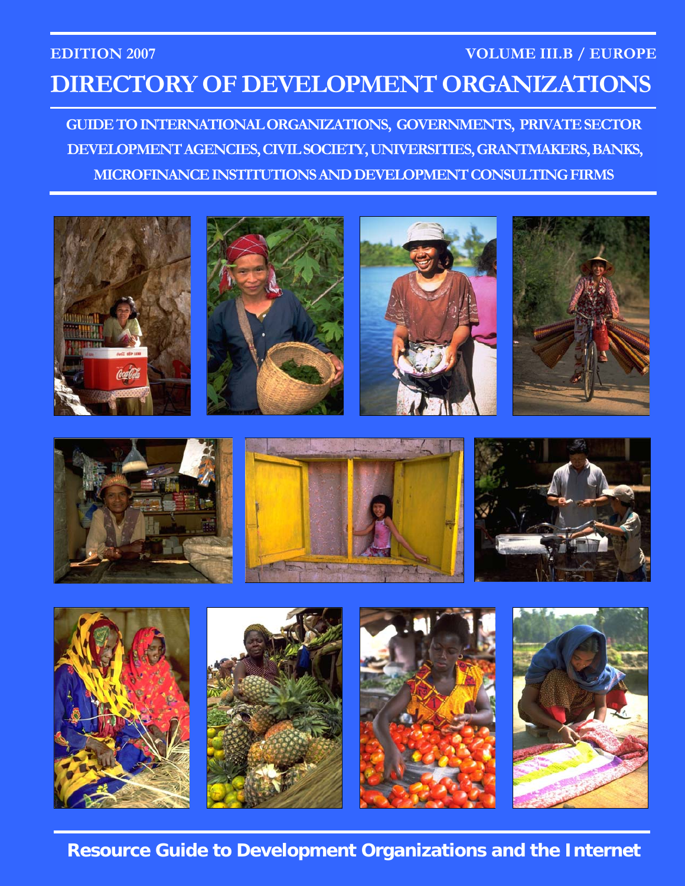## **EDITION 2007 VOLUME III.B / EUROPE DIRECTORY OF DEVELOPMENT ORGANIZATIONS**

**GUIDE TO INTERNATIONAL ORGANIZATIONS, GOVERNMENTS, PRIVATE SECTOR DEVELOPMENT AGENCIES, CIVIL SOCIETY, UNIVERSITIES, GRANTMAKERS, BANKS, MICROFINANCE INSTITUTIONS AND DEVELOPMENT CONSULTING FIRMS** 



**Resource Guide to Development Organizations and the Internet**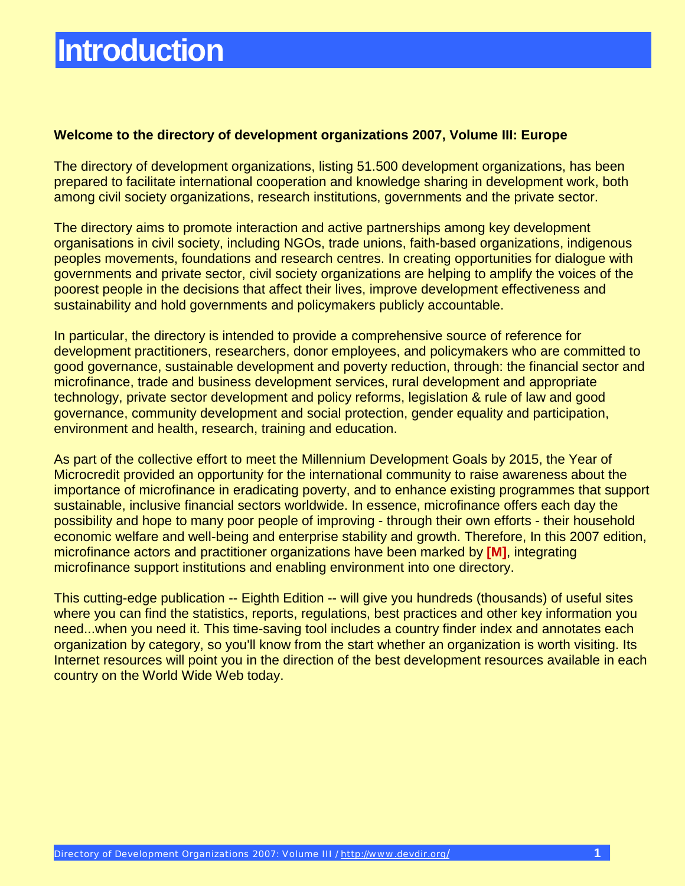#### **Welcome to the directory of development organizations 2007, Volume III: Europe**

The directory of development organizations, listing 51.500 development organizations, has been prepared to facilitate international cooperation and knowledge sharing in development work, both among civil society organizations, research institutions, governments and the private sector.

The directory aims to promote interaction and active partnerships among key development organisations in civil society, including NGOs, trade unions, faith-based organizations, indigenous peoples movements, foundations and research centres. In creating opportunities for dialogue with governments and private sector, civil society organizations are helping to amplify the voices of the poorest people in the decisions that affect their lives, improve development effectiveness and sustainability and hold governments and policymakers publicly accountable.

In particular, the directory is intended to provide a comprehensive source of reference for development practitioners, researchers, donor employees, and policymakers who are committed to good governance, sustainable development and poverty reduction, through: the financial sector and microfinance, trade and business development services, rural development and appropriate technology, private sector development and policy reforms, legislation & rule of law and good governance, community development and social protection, gender equality and participation, environment and health, research, training and education.

As part of the collective effort to meet the Millennium Development Goals by 2015, the Year of Microcredit provided an opportunity for the international community to raise awareness about the importance of microfinance in eradicating poverty, and to enhance existing programmes that support sustainable, inclusive financial sectors worldwide. In essence, microfinance offers each day the possibility and hope to many poor people of improving - through their own efforts - their household economic welfare and well-being and enterprise stability and growth. Therefore, In this 2007 edition, microfinance actors and practitioner organizations have been marked by **[M]**, integrating microfinance support institutions and enabling environment into one directory.

This cutting-edge publication -- Eighth Edition -- will give you hundreds (thousands) of useful sites where you can find the statistics, reports, regulations, best practices and other key information you need...when you need it. This time-saving tool includes a country finder index and annotates each organization by category, so you'll know from the start whether an organization is worth visiting. Its Internet resources will point you in the direction of the best development resources available in each country on the World Wide Web today.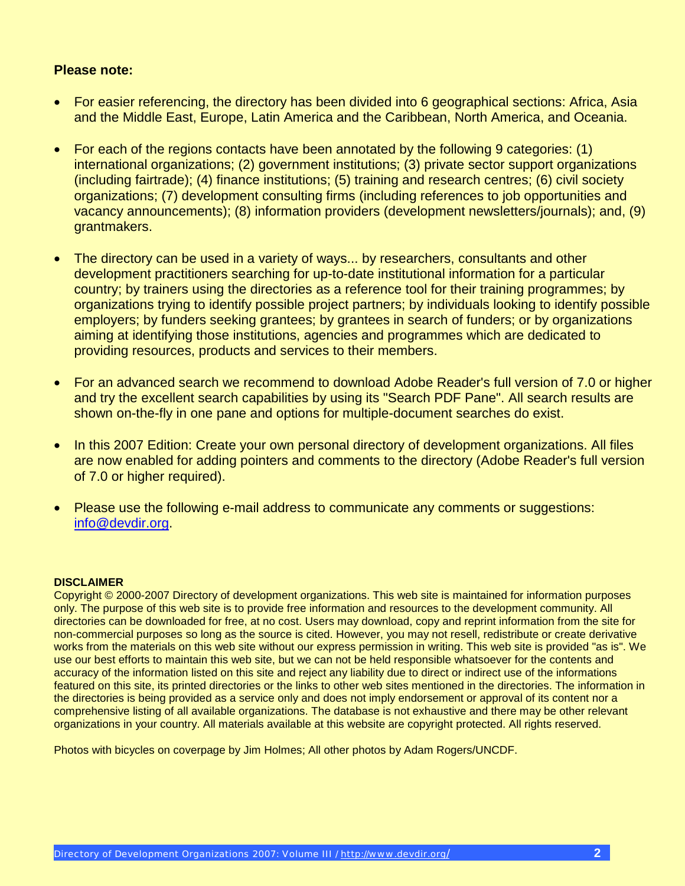#### **Please note:**

- For easier referencing, the directory has been divided into 6 geographical sections: Africa, Asia and the Middle East, Europe, Latin America and the Caribbean, North America, and Oceania.
- For each of the regions contacts have been annotated by the following 9 categories: (1) international organizations; (2) government institutions; (3) private sector support organizations (including fairtrade); (4) finance institutions; (5) training and research centres; (6) civil society organizations; (7) development consulting firms (including references to job opportunities and vacancy announcements); (8) information providers (development newsletters/journals); and, (9) grantmakers.
- The directory can be used in a variety of ways... by researchers, consultants and other development practitioners searching for up-to-date institutional information for a particular country; by trainers using the directories as a reference tool for their training programmes; by organizations trying to identify possible project partners; by individuals looking to identify possible employers; by funders seeking grantees; by grantees in search of funders; or by organizations aiming at identifying those institutions, agencies and programmes which are dedicated to providing resources, products and services to their members.
- For an advanced search we recommend to download Adobe Reader's full version of 7.0 or higher and try the excellent search capabilities by using its "Search PDF Pane". All search results are shown on-the-fly in one pane and options for multiple-document searches do exist.
- In this 2007 Edition: Create your own personal directory of development organizations. All files are now enabled for adding pointers and comments to the directory (Adobe Reader's full version of 7.0 or higher required).
- Please use the following e-mail address to communicate any comments or suggestions: [info@devdir.org.](mailto:info@devdir.org)

#### **DISCLAIMER**

Copyright © 2000-2007 Directory of development organizations. This web site is maintained for information purposes only. The purpose of this web site is to provide free information and resources to the development community. All directories can be downloaded for free, at no cost. Users may download, copy and reprint information from the site for non-commercial purposes so long as the source is cited. However, you may not resell, redistribute or create derivative works from the materials on this web site without our express permission in writing. This web site is provided "as is". We use our best efforts to maintain this web site, but we can not be held responsible whatsoever for the contents and accuracy of the information listed on this site and reject any liability due to direct or indirect use of the informations featured on this site, its printed directories or the links to other web sites mentioned in the directories. The information in the directories is being provided as a service only and does not imply endorsement or approval of its content nor a comprehensive listing of all available organizations. The database is not exhaustive and there may be other relevant organizations in your country. All materials available at this website are copyright protected. All rights reserved.

Photos with bicycles on coverpage by Jim Holmes; All other photos by Adam Rogers/UNCDF.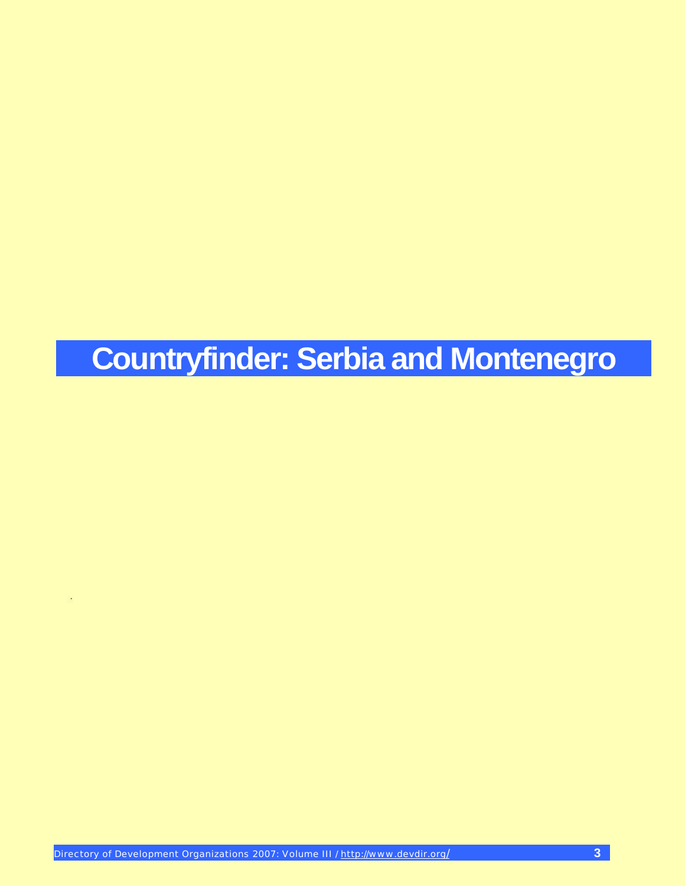# **Countryfinder: Serbia and Montenegro**

l,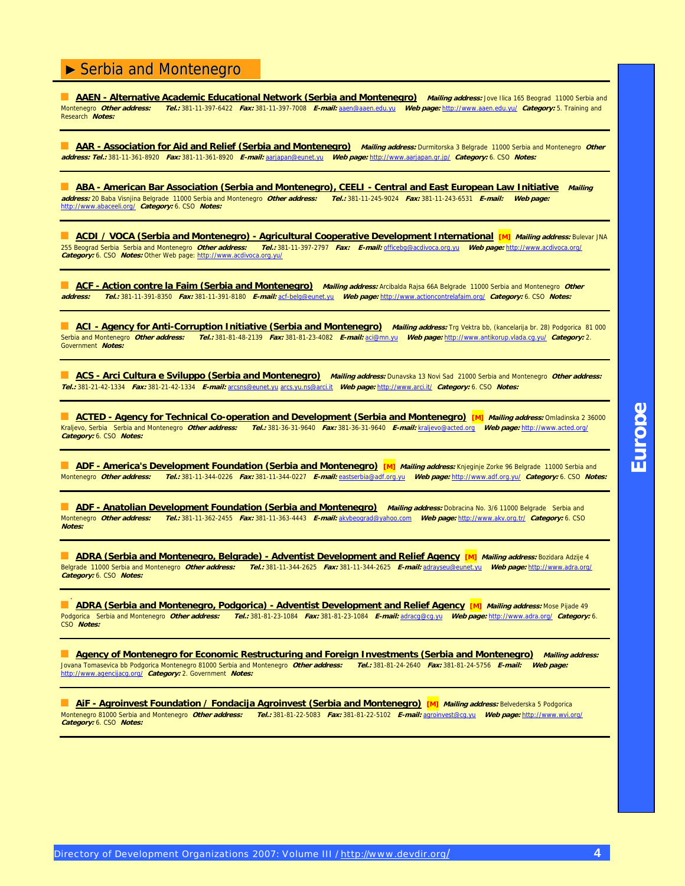**AAEN - Alternative Academic Educational Network (Serbia and Montenegro)** *Mailing address:* **Jove Ilica 165 Beograd 11000 Serbia and<br>Montenegro** *Other address: Tel.:* **381-11-397-6422 Fax: 381-11-397-7008 E-mail: aaen@aaen.e** Montenegro **Other address: Tel.:** 381-11-397-6422 **Fax:** 381-11-397-7008 **E-mail:** [aaen@aaen.edu.yu](mailto:aaen@aaen.edu.yu) **Web page:** [http://www.aaen.edu.yu/](http://www.aaen.edu.yu) **Category:** 5. Training and Research **Notes:**

■ AAR - Association for Aid and Relief (Serbia and Montenegro) Mailing address: Durmitorska 3 Belgrade 11000 Serbia and Montenegro Other **address: Tel.:** 381-11-361-8920 **Fax:** 381-11-361-8920 **E-mail:** [aarjapan@eunet.yu](mailto:aarjapan@eunet.yu) **Web page:** [http://www.aarjapan.gr.jp/](http://www.aarjapan.gr.jp) **Category:** 6. CSO **Notes:**

**ABA - American Bar Association (Serbia and Montenegro), CEELI - Central and East European Law Initiative Mailing <br>Iress: 20 Baba Visnjina Belgrade 11000 Serbia and Montenegro** *Other address: Tel.***: 381-11-245-9024 Fax: 38 address:** 20 Baba Visnjina Belgrade 11000 Serbia and Montenegro **Other address: Tel.:** 381-11-245-9024 **Fax:** 381-11-243-6531 **E-mail: Web page:** [http://www.abaceeli.org/](http://www.abaceeli.org) **Category:** 6. CSO **Notes:**

■ **ACDI / VOCA (Serbia and Montenegro) - Agricultural Cooperative Development International [M] Mailing address:** Bulevar JNA 255 Beograd Serbia Serbia and Montenegro **Other address: Tel.:** 381-11-397-2797 **Fax: E-mail:** [officebg@acdivoca.org.yu](mailto:officebg@acdivoca.org.yu) **Web page:** [http://www.acdivoca.org/](http://www.acdivoca.org) **Category:** 6. CSO **Notes:** Other Web page: [http://www.acdivoca.org.yu/](http://www.acdivoca.org.yu)

■ **ACF - Action contre la Faim (Serbia and Montenegro)** Mailing address: Arcibalda Rajsa 66A Belgrade 11000 Serbia and Montenegro *Other*<br> **address: Tel.: 381-11-391-8350** Fax: 381-11-391-8180 F-mail: act-belg@eunet.vu We **address: Tel.:** 381-11-391-8350 **Fax:** 381-11-391-8180 **E-mail:** acf-[belg@eunet.yu](mailto:belg@eunet.yu) **Web page:** [http://www.actioncontrelafaim.org/](http://www.actioncontrelafaim.org) **Category:** 6. CSO **Notes:**

**ACI - Agency for Anti-Corruption Initiative (Serbia and Montenegro)** Mailing address: Trg Vektra bb, (kancelarija br. 28) Podgorica 81 000<br>Serbia and Montenegro *Other address: Tel.:* 381-81-48-2139 Fax: 381-81-23-4082 F-Serbia and Montenegro **Other address: Tel.:** 381-81-48-2139 **Fax:** 381-81-23-4082 **E-mail:** [aci@mn.yu](mailto:aci@mn.yu) **Web page:** [http://www.antikorup.vlada.cg.yu/](http://www.antikorup.vlada.cg.yu) **Category:** 2. Government **Notes:**

■ **ACS - Arci Cultura e Sviluppo (Serbia and Montenegro)** Mailing address: Dunavska 13 Novi Sad 21000 Serbia and Montenegro Other address: **Tel.:** 381-21-42-1334 **Fax:** 381-21-42-1334 **E-mail:** [arcsns@eunet.yu](mailto:arcsns@eunet.yu) arcs.yu[.ns@arci.it](mailto:ns@arci.it) **Web page:** [http://www.arci.it/](http://www.arci.it) **Category:** 6. CSO **Notes:**

**ACTED - Agency for Technical Co-operation and Development (Serbia and Montenegro) [M] Mailing address: Omladinska 2 36000** Kraljevo, Serbia Serbia and Montenegro **Other address: Tel.:** 381-36-31-9640 **Fax:** 381-36-31-9640 **E-mail:** [kraljevo@acted.org](mailto:kraljevo@acted.org) **Web page:** [http://www.acted.org/](http://www.acted.org) **Category:** 6. CSO **Notes:**

**ADF - America's Development Foundation (Serbia and Montenegro) [M]** Mailing address: Knjeginje Zorke 96 Belgrade 11000 Serbia and<br>Montenegro *Other address: Tel.:* 381-11-344-0226 Fax: 381-11-344-0227 E-mail: eastserbia@a Montenegro **Other address: Tel.:** 381-11-344-0226 **Fax:** 381-11-344-0227 **E-mail:** [eastserbia@adf.org.yu](mailto:eastserbia@adf.org.yu) **Web page:** [http://www.adf.org.yu/](http://www.adf.org.yu) **Category:** 6. CSO **Notes:**

**ADF - Anatolian Development Foundation (Serbia and Montenegro)** *Mailing address:* **Dobracina No. 3/6 11000 Belgrade Serbia and<br>Montenegro Other address: Tel.: 381-11-362-2455 Fax: 381-11-363-4443 E-mail: akvbeograd@yahoo** Montenegro **Other address: Tel.:** 381-11-362-2455 **Fax:** 381-11-363-4443 **E-mail:** [akvbeograd@yahoo.com](mailto:akvbeograd@yahoo.com) **Web page:** [http://www.akv.org.tr/](http://www.akv.org.tr) **Category:** 6. CSO **Notes:**

■ **ADRA (Serbia and Montenegro, Belgrade) - Adventist Development and Relief Agency [M] Mailing address:** Bozidara Adzije 4 Belgrade 11000 Serbia and Montenegro **Other address: Tel.:** 381-11-344-2625 **Fax:** 381-11-344-2625 **E-mail:** [adrayseu@eunet.yu](mailto:adrayseu@eunet.yu) **Web page:** [http://www.adra.org/](http://www.adra.org) **Category:** 6. CSO **Notes:**

■ **ADRA (Serbia and Montenegro, Podgorica) - Adventist Development and Relief Agency <b>[M]** Mailing address: Mose Pijade 49 Podgorica Serbia and Montenegro **Other address: Tel.:** 381-81-23-1084 **Fax:** 381-81-23-1084 **E-mail:** [adracg@cg.yu](mailto:adracg@cg.yu) **Web page:** [http://www.adra.org/](http://www.adra.org) **Category:** 6. CSO **Notes:**

**Agency of Montenegro for Economic Restructuring and Foreign Investments (Serbia and Montenegro)** Mailing address: Jovana Tomasevica bb Podgorica Montenegro 81000 Serbia and Montenegro **Other address: Tel.:** 381-81-24-2640 **Fax:** 381-81-24-5756 **E-mail: Web page:** [http://www.agencijacg.org/](http://www.agencijacg.org) **Category:** 2. Government **Notes:**

■ **AiF - Agroinvest Foundation / Fondacija Agroinvest (Serbia and Montenegro) [M] Mailing address:** Belvederska 5 Podgorica Montenegro 81000 Serbia and Montenegro **Other address: Tel.:** 381-81-22-5083 **Fax:** 381-81-22-5102 **E-mail:** [agroinvest@cg.yu](mailto:agroinvest@cg.yu) **Web page:** [http://www.wvi.org/](http://www.wvi.org) **Category:** 6. CSO **Notes:**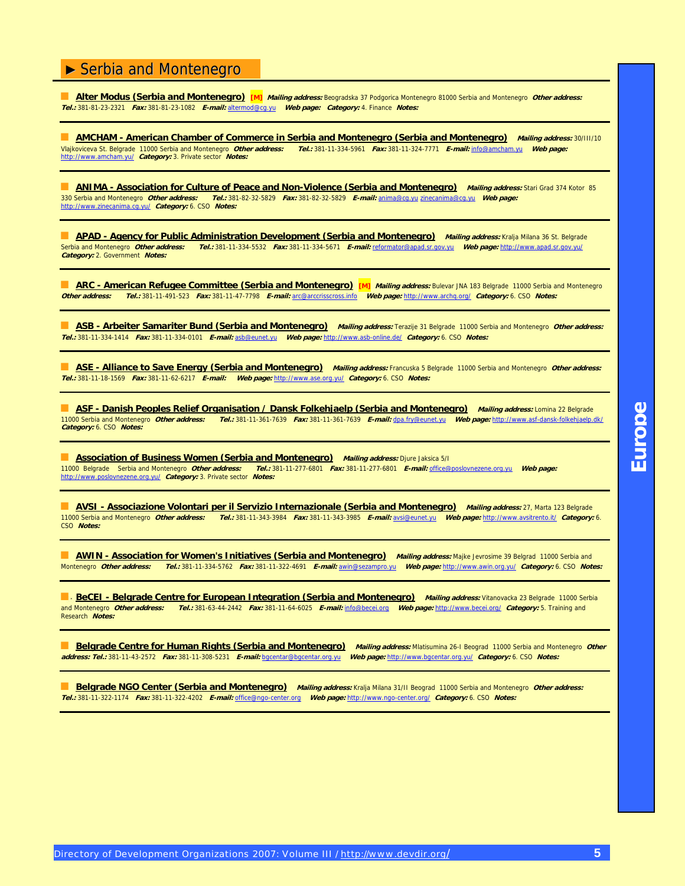■ **Alter Modus (Serbia and Montenegro) [M] Mailing address:** Beogradska 37 Podgorica Montenegro 81000 Serbia and Montenegro **Other address: Tel.:** 381-81-23-2321 **Fax:** 381-81-23-1082 **E-mail:** [altermod@cg.yu](mailto:altermod@cg.yu) **Web page: Category:** 4. Finance **Notes:**

**AMCHAM - American Chamber of Commerce in Serbia and Montenegro (Serbia and Montenegro)** *Mailing address: 30/III/10***<br>Vlajkoviceva St. Belgrade 11000 Serbia and Montenegro** *Other address: Tel.:* **381-11-334-5961 Fax: 381-11-**Vlajkoviceva St. Belgrade 11000 Serbia and Montenegro **Other address: Tel.:** 381-11-334-5961 **Fax:** 381-11-324-7771 **E-mail:** [info@amcham.yu](mailto:info@amcham.yu) **Web page:** [http://www.amcham.yu/](http://www.amcham.yu) **Category:** 3. Private sector **Notes:**

■ **ANIMA - Association for Culture of Peace and Non-Violence (Serbia and Montenegro) Mailing address:** Stari Grad 374 Kotor 85 330 Serbia and Montenegro **Other address: Tel.:** 381-82-32-5829 **Fax:** 381-82-32-5829 **E-mail:** [anima@cg.yu](mailto:anima@cg.yu) [zinecanima@cg.yu](mailto:zinecanima@cg.yu) **Web page:** [http://www.zinecanima.cg.yu/](http://www.zinecanima.cg.yu) **Category:** 6. CSO **Notes:**

**APAD - Agency for Public Administration Development (Serbia and Montenegro) Mailing address: Kralja Milana 36 St. Belgrade<br>Serbia and Montenegro Other address: Tel.: 381-11-334-5532 Fax: 381-11-334-5671 E-mail: reformator** Serbia and Montenegro **Other address: Tel.:** 381-11-334-5532 **Fax:** 381-11-334-5671 **E-mail:** [reformator@apad.sr.gov.yu](mailto:reformator@apad.sr.gov.yu) **Web page:** [http://www.apad.sr.gov.yu/](http://www.apad.sr.gov.yu) **Category:** 2. Government **Notes:**

**ARC - American Refugee Committee (Serbia and Montenegro) [M]** *Mailing address:* Bulevar JNA 183 Belgrade 11000 Serbia and Montenegro **Other address: Tel.:** 381-11-491-523 **Fax:** 381-11-47-7798 **E-mail:** [arc@arccrisscross.info](mailto:arc@arccrisscross.info) **Web page:** [http://www.archq.org/](http://www.archq.org) **Category:** 6. CSO **Notes:**

■ **ASB - Arbeiter Samariter Bund (Serbia and Montenegro) Mailing address:** Terazije 31 Belgrade 11000 Serbia and Montenegro **Other address: Tel.:** 381-11-334-1414 **Fax:** 381-11-334-0101 **E-mail:** [asb@eunet.yu](mailto:asb@eunet.yu) **Web page:** [http://www.asb-online.de/](http://www.asb-online.de) **Category:** 6. CSO **Notes:**

■ **ASE - Alliance to Save Energy (Serbia and Montenegro) Mailing address:** Francuska 5 Belgrade 11000 Serbia and Montenegro **Other address: Tel.:** 381-11-18-1569 **Fax:** 381-11-62-6217 **E-mail: Web page:** [http://www.ase.org.yu/](http://www.ase.org.yu) **Category:** 6. CSO **Notes:**

■ **ASF - Danish Peoples Relief Organisation / Dansk Folkehjaelp (Serbia and Montenegro) Mailing address:** Lomina 22 Belgrade 11000 Serbia and Montenegro **Other address: Tel.:** 381-11-361-7639 **Fax:** 381-11-361-7639 **E-mail:** dpa[.fry@eunet.yu](mailto:fry@eunet.yu) **Web page:** [http://www.asf-dansk-folkehjaelp.dk/](http://www.asf-dansk-folkehjaelp.dk) **Category:** 6. CSO **Notes:**

**Association of Business Women (Serbia and Montenegro)** Mailing address: Djure Jaksica 5/1<br>11000 Belgrade Serbia and Montenegro *Other address: Tel.:* 381-11-277-6801 Fax: 381-11-277-6801 E-mail: office@ 11000 Belgrade Serbia and Montenegro **Other address: Tel.:** 381-11-277-6801 **Fax:** 381-11-277-6801 **E-mail:** [office@poslovnezene.org.yu](mailto:office@poslovnezene.org.yu) **Web page:** [http://www.poslovnezene.org.yu/](http://www.poslovnezene.org.yu) **Category:** 3. Private sector **Notes:**

■ **AVSI - Associazione Volontari per il Servizio Internazionale (Serbia and Montenegro) Mailing address:** 27, Marta 123 Belgrade 11000 Serbia and Montenegro **Other address: Tel.:** 381-11-343-3984 **Fax:** 381-11-343-3985 **E-mail:** [avsi@eunet.yu](mailto:avsi@eunet.yu) **Web page:** [http://www.avsitrento.it/](http://www.avsitrento.it) **Category:** 6. CSO **Notes:**

**AWIN - Association for Women's Initiatives (Serbia and Montenegro)** *Mailing address:* **Majke Jevrosime 39 Belgrad 11000 Serbia and<br>Montenegro** *Other address: Tel.:* **381-11-334-5762** *Fax:* **381-11-322-4691** *E-mail:* **awin@sez** Montenegro **Other address: Tel.:** 381-11-334-5762 **Fax:** 381-11-322-4691 **E-mail:** [awin@sezampro.yu](mailto:awin@sezampro.yu) **Web page:** [http://www.awin.org.yu/](http://www.awin.org.yu) **Category:** 6. CSO **Notes:**

**B BeCEI - Belgrade Centre for European Integration (Serbia and Montenegro)** Mailing address: Vitanovacka 23 Belgrade 11000 Serbia and Montenegro **Other address: Tel.:** 381-63-44-2442 **Fax:** 381-11-64-6025 **E-mail:** [info@becei.org](mailto:info@becei.org) **Web page:** [http://www.becei.org/](http://www.becei.org) **Category:** 5. Training and Research **Notes:**

■ **Belgrade Centre for Human Rights (Serbia and Montenegro)** Mailing address: Mlatisumina 26-I Beograd 11000 Serbia and Montenegro Other **address: Tel.:** 381-11-43-2572 **Fax:** 381-11-308-5231 **E-mail:** [bgcentar@bgcentar.org.yu](mailto:bgcentar@bgcentar.org.yu) **Web page:** [http://www.bgcentar.org.yu/](http://www.bgcentar.org.yu) **Category:** 6. CSO **Notes:**

■ **Belgrade NGO Center (Serbia and Montenegro) Mailing address:** Kralja Milana 31/II Beograd 11000 Serbia and Montenegro **Other address: Tel.:** 381-11-322-1174 **Fax:** 381-11-322-4202 **E-mail:** [office@ngo-center.org](mailto:office@ngo-center.org) **Web page:** [http://www.ngo-center.org/](http://www.ngo-center.org) **Category:** 6. CSO **Notes:**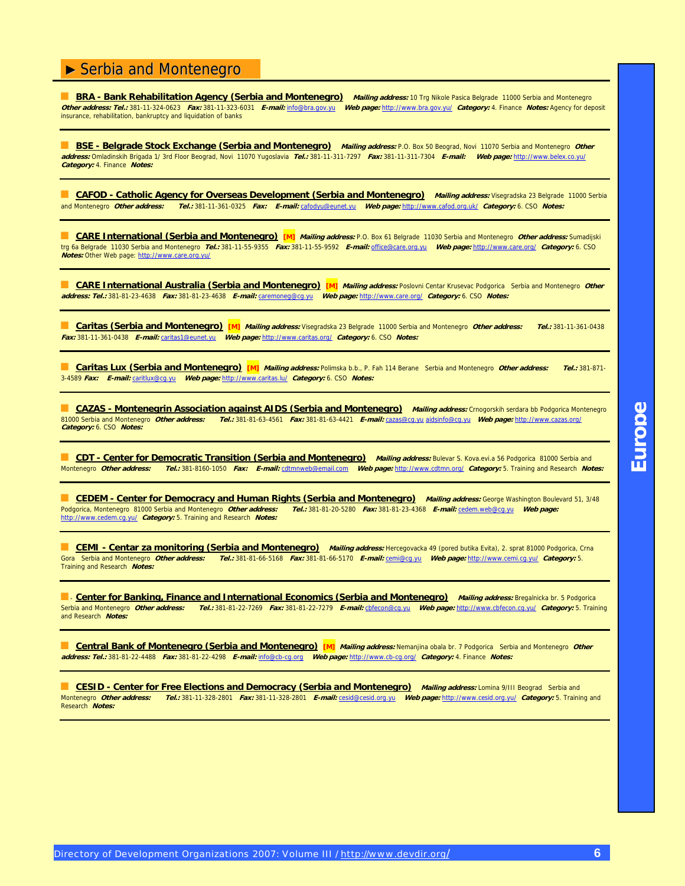**BRA - Bank Rehabilitation Agency (Serbia and Montenegro)** Mailing address: 10 Trg Nikole Pasica Belgrade 11000 Serbia and Montenegro **Other address: Tel.:** 381-11-324-0623 **Fax:** 381-11-323-6031 **E-mail:** [info@bra.gov.yu](mailto:info@bra.gov.yu) **Web page:** [http://www.bra.gov.yu/](http://www.bra.gov.yu) **Category:** 4. Finance **Notes:** Agency for deposit insurance, rehabilitation, bankruptcy and liquidation of banks

■ **BSE - Belgrade Stock Exchange (Serbia and Montenegro)** Mailing address: P.O. Box 50 Beograd, Novi 11070 Serbia and Montenegro Other **address:** Omladinskih Brigada 1/ 3rd Floor Beograd, Novi 11070 Yugoslavia **Tel.:** 381-11-311-7297 **Fax:** 381-11-311-7304 **E-mail: Web page:** [http://www.belex.co.yu/](http://www.belex.co.yu)  **Category:** 4. Finance **Notes:**

**E. CAFOD - Catholic Agency for Overseas Development (Serbia and Montenegro)** *Mailing address:* Visegradska 23 Belgrade 11000 Serbia<br>and Montenegro Other address: Tel.: 381-11-361-0325 Fax: E-mail: cafodyu@eunet.yu Web pa and Montenegro **Other address: Tel.:** 381-11-361-0325 **Fax: E-mail:** [cafodyu@eunet.yu](mailto:cafodyu@eunet.yu) **Web page:** [http://www.cafod.org.uk/](http://www.cafod.org.uk) **Category:** 6. CSO **Notes:**

■ **CARE International (Serbia and Montenegro) [M] Mailing address:** P.O. Box 61 Belgrade 11030 Serbia and Montenegro **Other address:** Sumadijski trg 6a Belgrade 11030 Serbia and Montenegro **Tel.:** 381-11-55-9355 **Fax:** 381-11-55-9592 **E-mail:** [office@care.org.yu](mailto:office@care.org.yu) **Web page:** [http://www.care.org/](http://www.care.org) **Category:** 6. CSO **Notes:** Other Web page: [http://www.care.org.yu/](http://www.care.org.yu)

**CARE International Australia (Serbia and Montenegro)** [M] *Mailing address:* Poslovni Centar Krusevac Podgorica Serbia and Montenegro *Other* **address: Tel.:** 381-81-23-4638 **Fax:** 381-81-23-4638 **E-mail:** [caremoneg@cg.yu](mailto:caremoneg@cg.yu) **Web page:** [http://www.care.org/](http://www.care.org) **Category:** 6. CSO **Notes:**

■ **Caritas (Serbia and Montenegro) [M] Mailing address:** Visegradska 23 Belgrade 11000 Serbia and Montenegro **Other address: Tel.:** 381-11-361-0438 **Fax:** 381-11-361-0438 **E-mail:** [caritas1@eunet.yu](mailto:caritas1@eunet.yu) **Web page:** [http://www.caritas.org/](http://www.caritas.org) **Category:** 6. CSO **Notes:**

■ **Caritas Lux (Serbia and Montenegro) [M] Mailing address:** Polimska b.b., P. Fah 114 Berane Serbia and Montenegro **Other address: Tel.:** 381-871- 3-4589 **Fax: E-mail:** [caritlux@cg.yu](mailto:caritlux@cg.yu) **Web page:** [http://www.caritas.lu/](http://www.caritas.lu) **Category:** 6. CSO **Notes:**

**CAZAS - Montenegrin Association against AIDS (Serbia and Montenegro)** *Mailing address:* **Crnogorskih serdara bb Podgorica Montenegro<br>81000 Serbia and Montenegro** *Other address: Tel.:* **381-81-63-4561 Fax: 381-81-63-4421 E-m** 81000 Serbia and Montenegro **Other address: Tel.:** 381-81-63-4561 **Fax:** 381-81-63-4421 **E-mail:** [cazas@cg.yu](mailto:cazas@cg.yu) [aidsinfo@cg.yu](mailto:aidsinfo@cg.yu) **Web page:** [http://www.cazas.org/](http://www.cazas.org) **Category:** 6. CSO **Notes:**

**CDT - Center for Democratic Transition (Serbia and Montenegro)** Mailing address: Bulevar S. Kova.evi.a 56 Podgorica 81000 Serbia and<br>Montenegro Other address: Tel.: 381-8160-1050 Fax: E-mail: cdtmnweb@email.com Web page: Montenegro **Other address: Tel.:** 381-8160-1050 **Fax: E-mail:** [cdtmnweb@email.com](mailto:cdtmnweb@email.com) **Web page:** [http://www.cdtmn.org/](http://www.cdtmn.org) **Category:** 5. Training and Research **Notes:**

**CEDEM - Center for Democracy and Human Rights (Serbia and Montenegro)** *Mailing address:* George Washington Boulevard 51, 3/48<br>Podgorica. Montenegro 81000 Serbia and Montenegro *Other address: Tel.:* 381-81-20-5280 Fax: 3 Podgorica, Montenegro 81000 Serbia and Montenegro **Other address: Tel.:** 381-81-20-5280 **Fax:** 381-81-23-4368 **E-mail:** cedem.[web@cg.yu](mailto:web@cg.yu) **Web page:** [http://www.cedem.cg.yu/](http://www.cedem.cg.yu) **Category:** 5. Training and Research **Notes:**

**CEMI - Centar za monitoring (Serbia and Montenegro)** *Mailing address:* Hercegovacka 49 (pored butika Evita), 2. sprat 81000 Podgorica, Crna<br>Gora Serbia and Montenegro *Other address: Tel.:* 381-81-66-5168 Fax: 381-81-66-Gora Serbia and Montenegro **Other address: Tel.:** 381-81-66-5168 **Fax:** 381-81-66-5170 **E-mail:** [cemi@cg.yu](mailto:cemi@cg.yu) **Web page:** [http://www.cemi.cg.yu/](http://www.cemi.cg.yu) **Category:** 5. Training and Research **Notes:**

**E. Center for Banking, Finance and International Economics (Serbia and Montenegro)** *Mailing address:* Bregalnicka br. 5 Podgorica<br>Serbia and Montenegro *Other address: Tel.:* 381-81-22-7269 *Fax:* 381-81-22-7279 *F-mail:* Serbia and Montenegro **Other address: Tel.:** 381-81-22-7269 **Fax:** 381-81-22-7279 **E-mail:** [cbfecon@cg.yu](mailto:cbfecon@cg.yu) **Web page:** [http://www.cbfecon.cg.yu/](http://www.cbfecon.cg.yu) **Category:** 5. Training and Research **Notes:**

■ **Central Bank of Montenegro (Serbia and Montenegro)** [M] *Mailing address:* Nemanjina obala br. 7 Podgorica Serbia and Montenegro *Other* **address: Tel.:** 381-81-22-4488 **Fax:** 381-81-22-4298 **E-mail:** [info@cb-cg.org](mailto:info@cb-cg.org) **Web page:** [http://www.cb-cg.org/](http://www.cb-cg.org) **Category:** 4. Finance **Notes:**

■ **CESID - Center for Free Elections and Democracy (Serbia and Montenegro) Mailing address:** Lomina 9/III Beograd Serbia and Montenegro **Other address: Tel.:** 381-11-328-2801 **Fax:** 381-11-328-2801 **E-mail:** [cesid@cesid.org.yu](mailto:cesid@cesid.org.yu) **Web page:** [http://www.cesid.org.yu/](http://www.cesid.org.yu) **Category:** 5. Training and Research **Notes:**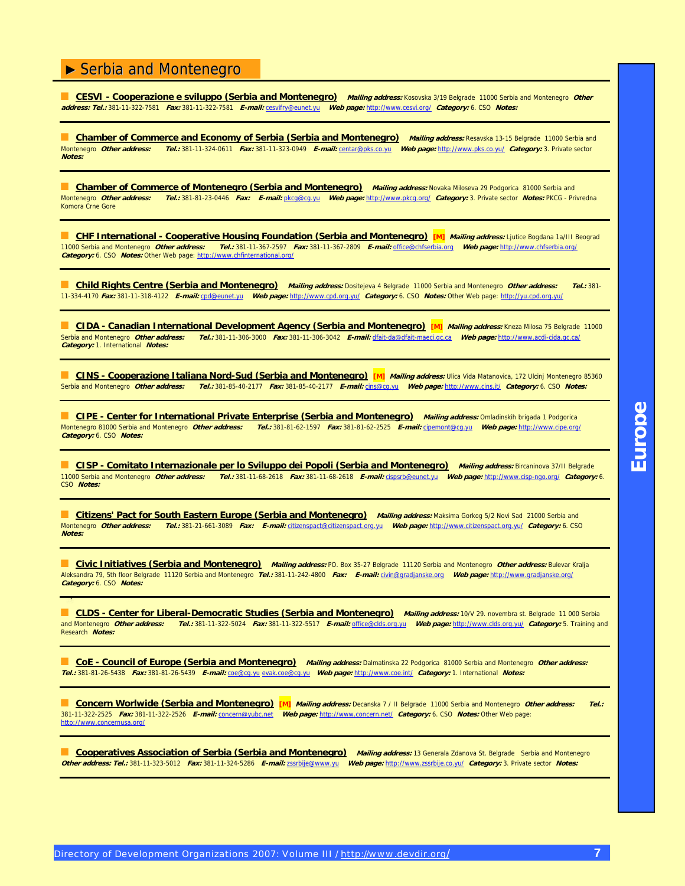■ **CESVI - Cooperazione e sviluppo (Serbia and Montenegro) Mailing address:** Kosovska 3/19 Belgrade 11000 Serbia and Montenegro **Other address: Tel.:** 381-11-322-7581 **Fax:** 381-11-322-7581 **E-mail:** [cesvifry@eunet.yu](mailto:cesvifry@eunet.yu) **Web page:** [http://www.cesvi.org/](http://www.cesvi.org) **Category:** 6. CSO **Notes:**

**Chamber of Commerce and Economy of Serbia (Serbia and Montenegro) Mailing address: Resavska 13-15 Belgrade 11000 Serbia and<br>Montenegro** *Other address: Tel.***: 381-11-324-0611** *Fax:* **381-11-323-0949** *E-mail:* **centar@pks.co.** Montenegro **Other address: Tel.:** 381-11-324-0611 **Fax:** 381-11-323-0949 **E-mail:** [centar@pks.co.yu](mailto:centar@pks.co.yu) **Web page:** [http://www.pks.co.yu/](http://www.pks.co.yu) **Category:** 3. Private sector **Notes:**

**Chamber of Commerce of Montenegro (Serbia and Montenegro)** *Mailing address:* **Novaka Miloseva 29 Podgorica 81000 Serbia and<br>Montenegro** *Other address: Tel.:* **381-81-23-0446 Fax: E-mail: pkcg@cg.yu Web page: http://www.pkcg** Montenegro **Other address: Tel.:** 381-81-23-0446 **Fax: E-mail:** [pkcg@cg.yu](mailto:pkcg@cg.yu) **Web page:** [http://www.pkcg.org/](http://www.pkcg.org) **Category:** 3. Private sector **Notes:** PKCG - Privredna Komora Crne Gore

**E. CHF International - Cooperative Housing Foundation (Serbia and Montenegro) [M]** Mailing address: Ljutice Bogdana 1a/III Beograd 11000 Serbia and Montenegro **Other address: Tel.:** 381-11-367-2597 **Fax:** 381-11-367-2809 **E-mail:** [office@chfserbia.org](mailto:office@chfserbia.org) **Web page:** [http://www.chfserbia.org/](http://www.chfserbia.org) **Category:** 6. CSO **Notes:** Other Web page: [http://www.chfinternational.org/](http://www.chfinternational.org)

■ **Child Rights Centre (Serbia and Montenegro) Mailing address:** Dositejeva 4 Belgrade 11000 Serbia and Montenegro **Other address: Tel.:** 381- 11-334-4170 **Fax:** 381-11-318-4122 **E-mail:** [cpd@eunet.yu](mailto:cpd@eunet.yu) **Web page:** [http://www.cpd.org.yu/](http://www.cpd.org.yu) **Category:** 6. CSO **Notes:** Other Web page: [http://yu.cpd.org.yu/](http://yu.cpd.org.yu)

**CIDA - Canadian International Development Agency (Serbia and Montenegro) [M]** *Mailing address:* **Kneza Milosa 75 Belgrade 11000<br>Serbia and Montenegro** *Other address: Tel.:* **381-11-306-3000** *Fax:* **381-11-306-3042** *E-mail:*Serbia and Montenegro **Other address: Tel.:** 381-11-306-3000 **Fax:** 381-11-306-3042 **E-mail:** dfait[-da@dfait-maeci.gc.ca](mailto:da@dfait-maeci.gc.ca) **Web page:** [http://www.acdi-cida.gc.ca/](http://www.acdi-cida.gc.ca) **Category:** 1. International **Notes:**

■ **CINS - Cooperazione Italiana Nord-Sud (Serbia and Montenegro)** [M] *Mailing address:* Ulica Vida Matanovica, 172 Ulcinj Montenegro 85360 Serbia and Montenegro **Other address: Tel.:** 381-85-40-2177 **Fax:** 381-85-40-2177 **E-mail:** [cins@cg.yu](mailto:cins@cg.yu) **Web page:** [http://www.cins.it/](http://www.cins.it) **Category:** 6. CSO **Notes:**

■ **CIPE - Center for International Private Enterprise (Serbia and Montenegro)** *Mailing address:* Omladinskih brigada 1 Podgorica Montenegro 81000 Serbia and Montenegro **Other address: Tel.:** 381-81-62-1597 **Fax:** 381-81-62-2525 **E-mail:** [cipemont@cg.yu](mailto:cipemont@cg.yu) **Web page:** [http://www.cipe.org/](http://www.cipe.org)  **Category:** 6. CSO **Notes:**

■ **CISP - Comitato Internazionale per lo Sviluppo dei Popoli (Serbia and Montenegro)** *Mailing address:* Bircaninova 37/II Belgrade 11000 Serbia and Montenegro **Other address: Tel.:** 381-11-68-2618 **Fax:** 381-11-68-2618 **E-mail:** [cispsrb@eunet.yu](mailto:cispsrb@eunet.yu) **Web page:** [http://www.cisp-ngo.org/](http://www.cisp-ngo.org) **Category:** 6. CSO **Notes:**

**Citizens' Pact for South Eastern Europe (Serbia and Montenegro)** *Mailing address:* **Maksima Gorkog 5/2 Novi Sad 21000 Serbia and<br>Montenegro** *Other address: Tel.:* **381-21-661-3089** *Fax: E-mail:* **ditzenspact@citizenspact.org** Montenegro **Other address: Tel.:** 381-21-661-3089 **Fax: E-mail:** [citizenspact@citizenspact.org.yu](mailto:citizenspact@citizenspact.org.yu) **Web page:** [http://www.citizenspact.org.yu/](http://www.citizenspact.org.yu) **Category:** 6. CSO **Notes:**

■ **Civic Initiatives (Serbia and Montenegro) Mailing address:** PO. Box 35-27 Belgrade 11120 Serbia and Montenegro **Other address:** Bulevar Kralja Aleksandra 79, 5th floor Belgrade 11120 Serbia and Montenegro **Tel.:** 381-11-242-4800 **Fax: E-mail:** [civin@gradjanske.org](mailto:civin@gradjanske.org) **Web page:** [http://www.gradjanske.org/](http://www.gradjanske.org)  **Category:** 6. CSO **Notes:**

**CLDS - Center for Liberal-Democratic Studies (Serbia and Montenegro)** *Mailing address:* 10/V 29. novembra st. Belgrade 11 000 Serbia<br>and Montenegro Other address: Tel.: 381-11-322-5024 Fax: 381-11-322-5517 E-mail: office and Montenegro **Other address: Tel.:** 381-11-322-5024 **Fax:** 381-11-322-5517 **E-mail:** [office@clds.org.yu](mailto:office@clds.org.yu) **Web page:** [http://www.clds.org.yu/](http://www.clds.org.yu) **Category:** 5. Training and Research **Notes:**

■ **CoE - Council of Europe (Serbia and Montenegro)** Mailing address: Dalmatinska 22 Podgorica 81000 Serbia and Montenegro Other address: **Tel.:** 381-81-26-5438 **Fax:** 381-81-26-5439 **E-mail:** [coe@cg.yu](mailto:coe@cg.yu) evak[.coe@cg.yu](mailto:coe@cg.yu) **Web page:** [http://www.coe.int/](http://www.coe.int) **Category:** 1. International **Notes:**

■ **Concern Worlwide (Serbia and Montenegro) [M] Mailing address:** Decanska 7 / II Belgrade 11000 Serbia and Montenegro **Other address: Tel.:** 381-11-322-2525 **Fax:** 381-11-322-2526 **E-mail:** [concern@yubc.net](mailto:concern@yubc.net) **Web page:** [http://www.concern.net/](http://www.concern.net) **Category:** 6. CSO **Notes:** Other Web page: [http://www.concernusa.org/](http://www.concernusa.org)

■ **Cooperatives Association of Serbia (Serbia and Montenegro) Mailing address:** 13 Generala Zdanova St. Belgrade Serbia and Montenegro **Other address: Tel.:** 381-11-323-5012 **Fax:** 381-11-324-5286 **E-mail:** [zssrbije@www.yu](mailto:zssrbije@www.yu) **Web page:** [http://www.zssrbije.co.yu/](http://www.zssrbije.co.yu) **Category:** 3. Private sector **Notes:**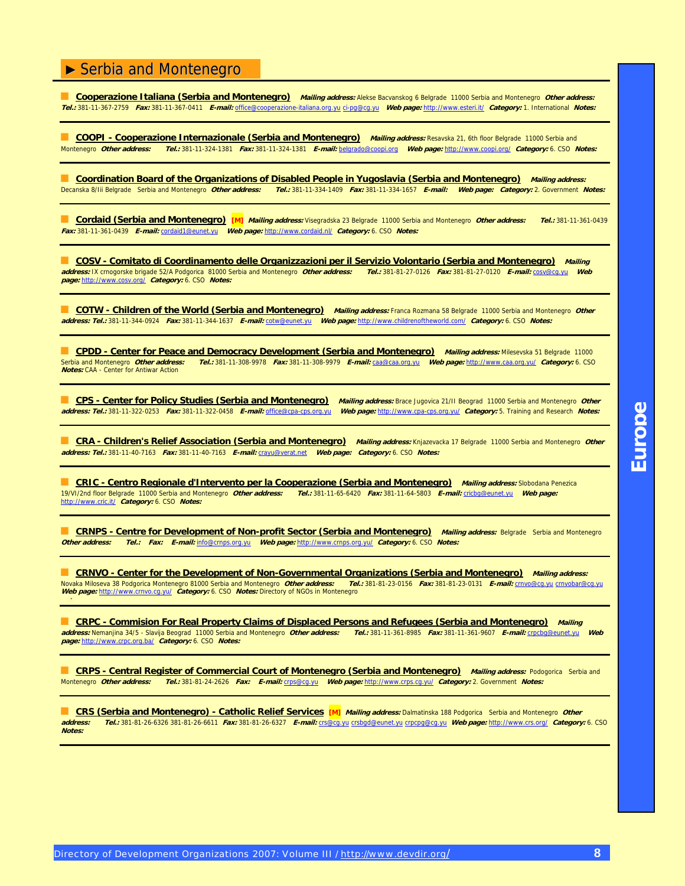■ **Cooperazione Italiana (Serbia and Montenegro) Mailing address:** Alekse Bacvanskog 6 Belgrade 11000 Serbia and Montenegro **Other address: Tel.:** 381-11-367-2759 **Fax:** 381-11-367-0411 **E-mail:** [office@cooperazione-italiana.org.yu](mailto:office@cooperazione-italiana.org.yu) ci-[pg@cg.yu](mailto:pg@cg.yu) **Web page:** [http://www.esteri.it/](http://www.esteri.it) **Category:** 1. International **Notes:**

**COOPI - Cooperazione Internazionale (Serbia and Montenegro)** *Mailing address:* **Resavska 21, 6th floor Belgrade 11000 Serbia and<br>Montenegro Other address: Tel.: 381-11-324-1381 Fax: 381-11-324-1381 F-mail: belgrado@coopi** Montenegro **Other address: Tel.:** 381-11-324-1381 **Fax:** 381-11-324-1381 **E-mail:** [belgrado@coopi.org](mailto:belgrado@coopi.org) **Web page:** [http://www.coopi.org/](http://www.coopi.org) **Category:** 6. CSO **Notes:**

**Coordination Board of the Organizations of Disabled People in Yugoslavia (Serbia and Montenegro)** *Mailing address:*<br>Decanska 8/lii Belgrade Serbia and Montenegro *Other address: Tel.:* 381-11-334-1409 *Fax:* 381-11-334-1 Decanska 8/Iii Belgrade Serbia and Montenegro **Other address: Tel.:** 381-11-334-1409 **Fax:** 381-11-334-1657 **E-mail: Web page: Category:** 2. Government **Notes:**

■ **Cordaid (Serbia and Montenegro) [M] Mailing address:** Visegradska 23 Belgrade 11000 Serbia and Montenegro **Other address: Tel.:** 381-11-361-0439 **Fax:** 381-11-361-0439 **E-mail:** [cordaid1@eunet.yu](mailto:cordaid1@eunet.yu) **Web page:** [http://www.cordaid.nl/](http://www.cordaid.nl) **Category:** 6. CSO **Notes:**

**COSV - Comitato di Coordinamento delle Organizzazioni per il Servizio Volontario (Serbia and Montenegro) Mailing <br>Iress: IX crnogorske brigade 52/A Podgorica 81000 Serbia and Montenegro** *Other address: Tel.:* **381-81-27-01 address:** IX crnogorske brigade 52/A Podgorica 81000 Serbia and Montenegro **Other address: Tel.:** 381-81-27-0126 **Fax:** 381-81-27-0120 **E-mail:** [cosv@cg.yu](mailto:cosv@cg.yu) **Web page:** [http://www.cosv.org/](http://www.cosv.org) **Category:** 6. CSO **Notes:**

■ **COTW - Children of the World (Serbia and Montenegro)** *Mailing address:* Franca Rozmana 58 Belgrade 11000 Serbia and Montenegro *Other* **address: Tel.:** 381-11-344-0924 **Fax:** 381-11-344-1637 **E-mail:** [cotw@eunet.yu](mailto:cotw@eunet.yu) **Web page:** [http://www.childrenoftheworld.com/](http://www.childrenoftheworld.com) **Category:** 6. CSO **Notes:**

**CPDD - Center for Peace and Democracy Development (Serbia and Montenegro)** *Mailing address:* **Milesevska 51 Belgrade 11000<br>Serbia and Montenegro** *Other address: Tel.:* **381-11-308-9978** *Fax:* **381-11-308-9979** *E-mail:* **<u>caa@**</u> Serbia and Montenegro **Other address: Tel.:** 381-11-308-9978 **Fax:** 381-11-308-9979 **E-mail:** [caa@caa.org.yu](mailto:caa@caa.org.yu) **Web page:** [http://www.caa.org.yu/](http://www.caa.org.yu) **Category:** 6. CSO **Notes:** CAA - Center for Antiwar Action

■ **CPS - Center for Policy Studies (Serbia and Montenegro) Mailing address:** Brace Jugovica 21/II Beograd 11000 Serbia and Montenegro **Other address: Tel.:** 381-11-322-0253 **Fax:** 381-11-322-0458 **E-mail:** [office@cpa-cps.org.yu](mailto:office@cpa-cps.org.yu) **Web page:** [http://www.cpa-cps.org.yu/](http://www.cpa-cps.org.yu) **Category:** 5. Training and Research **Notes:**

**CRA - Children's Relief Association (Serbia and Montenegro)** Mailing address: Knjazevacka 17 Belgrade 11000 Serbia and Montenegro Other **address: Tel.:** 381-11-40-7163 **Fax:** 381-11-40-7163 **E-mail:** [crayu@verat.net](mailto:crayu@verat.net) **Web page: Category:** 6. CSO **Notes:**

■ **CRIC - Centro Regionale d'Intervento per la Cooperazione (Serbia and Montenegro) Mailing address:** Slobodana Penezica 19/VI/2nd floor Belgrade 11000 Serbia and Montenegro **Other address: Tel.:** 381-11-65-6420 **Fax:** 381-11-64-5803 **E-mail:** [cricbg@eunet.yu](mailto:cricbg@eunet.yu) **Web page:** [http://www.cric.it/](http://www.cric.it) **Category:** 6. CSO **Notes:**

■ **CRNPS - Centre for Development of Non-profit Sector (Serbia and Montenegro) Mailing address:** Belgrade Serbia and Montenegro **Other address: Tel.: Fax: E-mail:** [info@crnps.org.yu](mailto:info@crnps.org.yu) **Web page:** [http://www.crnps.org.yu/](http://www.crnps.org.yu) **Category:** 6. CSO **Notes:**

■ **CRNVO - Center for the Development of Non-Governmental Organizations (Serbia and Montenegro) Mailing address:** Novaka Miloseva 38 Podgorica Montenegro 81000 Serbia and Montenegro **Other address: Tel.:** 381-81-23-0156 **Fax:** 381-81-23-0131 **E-mail:** [crnvo@cg.yu](mailto:crnvo@cg.yu) [crnvobar@cg.yu](mailto:crnvobar@cg.yu)  **Web page:** [http://www.crnvo.cg.yu/](http://www.crnvo.cg.yu) **Category:** 6. CSO **Notes:** Directory of NGOs in Montenegro

**CRPC - Commision For Real Property Claims of Displaced Persons and Refugees (Serbia and Montenegro)** Mailing *Mailing*<br> *Press:* **Nemanjina 34/5 - Slavija Beograd 11000 Serbia and Montenegro** *Other address: Tel.:* **381-11address:** Nemanjina 34/5 - Slavija Beograd 11000 Serbia and Montenegro Other address: **page:** [http://www.crpc.org.ba/](http://www.crpc.org.ba) **Category:** 6. CSO **Notes:**

**CRPS - Central Register of Commercial Court of Montenegro (Serbia and Montenegro) Mailing address: Podogorica Serbia and** Montenegro **Other address: Tel.:** 381-81-24-2626 **Fax: E-mail:** [crps@cg.yu](mailto:crps@cg.yu) **Web page:** [http://www.crps.cg.yu/](http://www.crps.cg.yu) **Category:** 2. Government **Notes:**

■ CRS (Serbia and Montenegro) - Catholic Relief Services [M] *Mailing address:* Dalmatinska 188 Podgorica Serbia and Montenegro *Other*<br>address: Tel : 381-81-26-6326 381-81-26-6611 Fax: 381-81-26-6327 F-mail: crs@cq yu cr **address: Tel.:** 381-81-26-6326 381-81-26-6611 **Fax:** 381-81-26-6327 **E-mail:** [crs@cg.yu](mailto:crs@cg.yu) [crsbgd@eunet.yu](mailto:crsbgd@eunet.yu) [crpcpg@cg.yu](mailto:crpcpg@cg.yu) **Web page:** [http://www.crs.org/](http://www.crs.org) **Category:** 6. CSO **Notes:**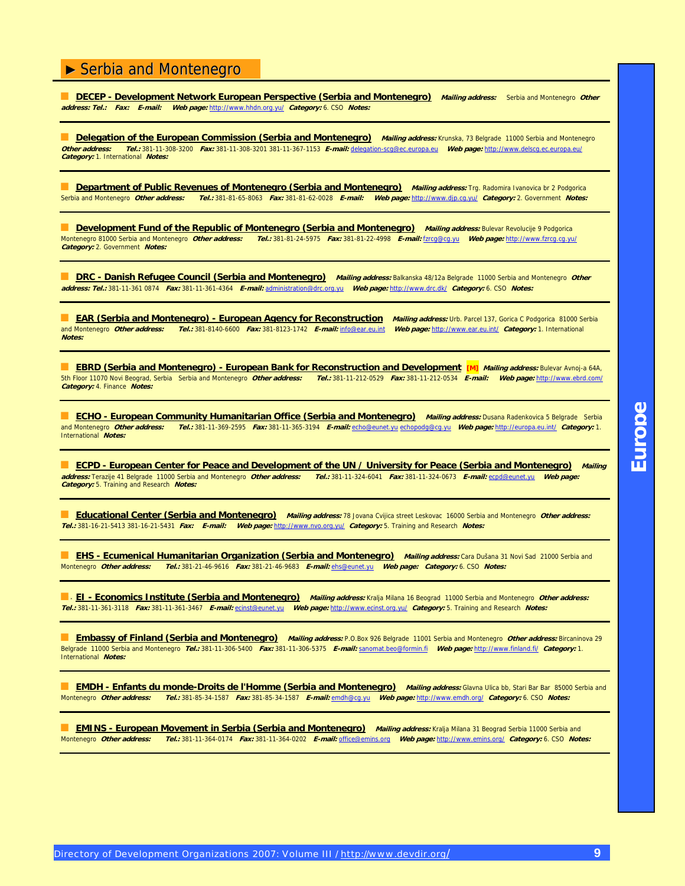■ **DECEP - Development Network European Perspective (Serbia and Montenegro) Mailing address:** Serbia and Montenegro **Other address: Tel.: Fax: E-mail: Web page:** [http://www.hhdn.org.yu/](http://www.hhdn.org.yu) **Category:** 6. CSO **Notes:**

**Delegation of the European Commission (Serbia and Montenegro)** Mailing address: Krunska, 73 Belgrade 11000 Serbia and Montenegro<br>Other address: Tel.: 381-11-308-3200 Fax: 381-11-308-3201 381-11-367-1153 E-mail: delegation **Other address: Tel.:** 381-11-308-3200 **Fax:** 381-11-308-3201 381-11-367-1153 **E-mail:** delegation[-scg@ec.europa.eu](mailto:scg@ec.europa.eu) **Web page:** [http://www.delscg.ec.europa.eu/](http://www.delscg.ec.europa.eu)  **Category:** 1. International **Notes:**

**Department of Public Revenues of Montenegro (Serbia and Montenegro) Mailing address: Trg. Radomira Ivanovica br 2 Podgorica** Serbia and Montenegro **Other address: Tel.:** 381-81-65-8063 **Fax:** 381-81-62-0028 **E-mail: Web page:** [http://www.djp.cg.yu/](http://www.djp.cg.yu) **Category:** 2. Government **Notes:**

■ **Development Fund of the Republic of Montenegro (Serbia and Montenegro)** *Mailing address:* Bulevar Revolucije 9 Podgorica Montenegro 81000 Serbia and Montenegro **Other address: Tel.:** 381-81-24-5975 **Fax:** 381-81-22-4998 **E-mail:** [fzrcg@cg.yu](mailto:fzrcg@cg.yu) **Web page:** [http://www.fzrcg.cg.yu/](http://www.fzrcg.cg.yu) **Category:** 2. Government **Notes:**

■ **DRC - Danish Refugee Council (Serbia and Montenegro)** Mailing address: Balkanska 48/12a Belgrade 11000 Serbia and Montenegro *Other* **address: Tel.:** 381-11-361 0874 **Fax:** 381-11-361-4364 **E-mail:** [administration@drc.org.yu](mailto:administration@drc.org.yu) **Web page:** [http://www.drc.dk/](http://www.drc.dk) **Category:** 6. CSO **Notes:**

■ **EAR (Serbia and Montenegro) - European Agency for Reconstruction** *Mailing address:* **Urb. Parcel 137, Gorica C Podgorica 81000 Serbia** and Montenegro **Other address: Tel.:** 381-8140-6600 **Fax:** 381-8123-1742 **E-mail:** [info@ear.eu.int](mailto:info@ear.eu.int) **Web page:** [http://www.ear.eu.int/](http://www.ear.eu.int) **Category:** 1. International **Notes:**

■ **EBRD (Serbia and Montenegro) - European Bank for Reconstruction and Development [M]** *Mailing address:* **Bulevar Avnoj-a 64A,<br>5th Floor 11070 Novi Beograd, Serbia Serbia and Montenegro** *Other address: Tel.:* **381-11-212-0** 5th Floor 11070 Novi Beograd, Serbia Serbia and Montenegro **Other address: Tel.:** 381-11-212-0529 **Fax:** 381-11-212-0534 **E-mail: Web page:** [http://www.ebrd.com/](http://www.ebrd.com) **Category:** 4. Finance **Notes:**

■ **ECHO - European Community Humanitarian Office (Serbia and Montenegro)** *Mailing address:* Dusana Radenkovica 5 Belgrade Serbia and Montenegro **Other address: Tel.:** 381-11-369-2595 **Fax:** 381-11-365-3194 **E-mail:** [echo@eunet.yu](mailto:echo@eunet.yu) [echopodg@cg.yu](mailto:echopodg@cg.yu) **Web page:** [http://europa.eu.int/](http://europa.eu.int) **Category:** 1. International **Notes:**

■ **ECPD - European Center for Peace and Development of the UN / University for Peace (Serbia and Montenegro)** Mailing **address:** Terazije 41 Belgrade 11000 Serbia and Montenegro **Other address: Tel.:** 381-11-324-6041 **Fax:** 381-11-324-0673 **E-mail:** [ecpd@eunet.yu](mailto:ecpd@eunet.yu) **Web page: Category:** 5. Training and Research **Notes:**

■ **Educational Center (Serbia and Montenegro)** Mailing address: 78 Jovana Cvijica street Leskovac 16000 Serbia and Montenegro Other address: **Tel.:** 381-16-21-5413 381-16-21-5431 **Fax: E-mail: Web page:** [http://www.nvo.org.yu/](http://www.nvo.org.yu) **Category:** 5. Training and Research **Notes:**

■ **EHS - Ecumenical Humanitarian Organization (Serbia and Montenegro)** Mailing address: Cara Dušana 31 Novi Sad 21000 Serbia and<br>Montenegro *Other address: Tel.*: 381-21-46-9616 Fax: 381-21-46-9683 E-mail: <u>ehs@eunet.yu</u> Montenegro **Other address: Tel.:** 381-21-46-9616 **Fax:** 381-21-46-9683 **E-mail:** [ehs@eunet.yu](mailto:ehs@eunet.yu) **Web page: Category:** 6. CSO **Notes:**

■ **EI - Economics Institute (Serbia and Montenegro) Mailing address:** Kralja Milana 16 Beograd 11000 Serbia and Montenegro **Other address: Tel.:** 381-11-361-3118 **Fax:** 381-11-361-3467 **E-mail:** [ecinst@eunet.yu](mailto:ecinst@eunet.yu) **Web page:** [http://www.ecinst.org.yu/](http://www.ecinst.org.yu) **Category:** 5. Training and Research **Notes:**

■ **Embassy of Finland (Serbia and Montenegro) Mailing address:** P.O.Box 926 Belgrade 11001 Serbia and Montenegro **Other address:** Bircaninova 29 Belgrade 11000 Serbia and Montenegro **Tel.:** 381-11-306-5400 **Fax:** 381-11-306-5375 **E-mail:** sanomat[.beo@formin.fi](mailto:beo@formin.fi) **Web page:** [http://www.finland.fi/](http://www.finland.fi) **Category:** 1. International **Notes:**

**EMDH - Enfants du monde-Droits de l'Homme (Serbia and Montenegro) Mailing address: Glavna Ulica bb, Stari Bar 85000 Serbia and** Montenegro **Other address: Tel.:** 381-85-34-1587 **Fax:** 381-85-34-1587 **E-mail:** [emdh@cg.yu](mailto:emdh@cg.yu) **Web page:** [http://www.emdh.org/](http://www.emdh.org) **Category:** 6. CSO **Notes:**

**EMINS - European Movement in Serbia (Serbia and Montenegro)** Mailing address: Kralja Milana 31 Beograd Serbia 11000 Serbia and Montenegro **Other address: Tel.:** 381-11-364-0174 **Fax:** 381-11-364-0202 **E-mail:** [office@emins.org](mailto:office@emins.org) **Web page:** [http://www.emins.org/](http://www.emins.org) **Category:** 6. CSO **Notes:**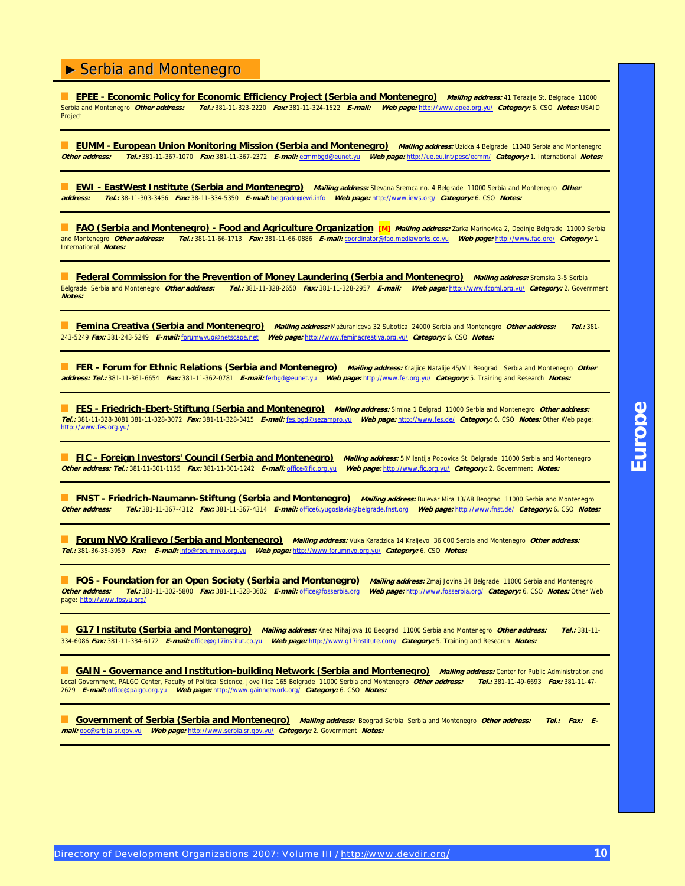■ **EPEE - Economic Policy for Economic Efficiency Project (Serbia and Montenegro)** *Mailing address:* 41 Terazije St. Belgrade 11000<br>Serbia and Montenegro *Other address: Tel.:* 381-11-323-2220 *Fax:* 381-11-324-1522 *E-m* Serbia and Montenegro **Other address: Tel.:** 381-11-323-2220 **Fax:** 381-11-324-1522 **E-mail: Web page:** [http://www.epee.org.yu/](http://www.epee.org.yu) **Category:** 6. CSO **Notes:** USAID Project

**EUMM - European Union Monitoring Mission (Serbia and Montenegro)** Mailing address: Uzicka 4 Belgrade 11040 Serbia and Montenegro **Other address: Tel.:** 381-11-367-1070 **Fax:** 381-11-367-2372 **E-mail:** [ecmmbgd@eunet.yu](mailto:ecmmbgd@eunet.yu) **Web page:** [http://ue.eu.int/pesc/ecmm/](http://ue.eu.int/pesc/ecmm) **Category:** 1. International **Notes:**

■ **EWI - EastWest Institute (Serbia and Montenegro)** Mailing address: Stevana Sremca no. 4 Belgrade 11000 Serbia and Montenegro *Other*<br>address: Tel.: 38-11-303-3456 Fax: 38-11-334-5350 F-mail: belgrade@ewi.info Web page: **address: Tel.:** 38-11-303-3456 **Fax:** 38-11-334-5350 **E-mail:** [belgrade@ewi.info](mailto:belgrade@ewi.info) **Web page:** [http://www.iews.org/](http://www.iews.org) **Category:** 6. CSO **Notes:**

■ **FAO (Serbia and Montenegro) - Food and Agriculture Organization [M]** *Mailing address:* **Zarka Marinovica 2, Dedinje Belgrade 11000 Serbia** and Montenegro **Other address: Tel.:** 381-11-66-1713 **Fax:** 381-11-66-0886 **E-mail:** [coordinator@fao.mediaworks.co.yu](mailto:coordinator@fao.mediaworks.co.yu) **Web page:** [http://www.fao.org/](http://www.fao.org) **Category:** 1. International **Notes:**

■ **Federal Commission for the Prevention of Money Laundering (Serbia and Montenegro)** Mailing address: Sremska 3-5 Serbia Belgrade Serbia and Montenegro **Other address: Tel.:** 381-11-328-2650 **Fax:** 381-11-328-2957 **E-mail: Web page:** [http://www.fcpml.org.yu/](http://www.fcpml.org.yu) **Category:** 2. Government **Notes:**

■ **Femina Creativa (Serbia and Montenegro) Mailing address:** Mažuraniceva 32 Subotica 24000 Serbia and Montenegro **Other address: Tel.:** 381- 243-5249 **Fax:** 381-243-5249 **E-mail:** [forumwyug@netscape.net](mailto:forumwyug@netscape.net) **Web page:** [http://www.feminacreativa.org.yu/](http://www.feminacreativa.org.yu) **Category:** 6. CSO **Notes:**

■ FER - Forum for Ethnic Relations (Serbia and Montenegro) Mailing address: Kraljice Natalije 45/VII Beograd Serbia and Montenegro Other **address: Tel.:** 381-11-361-6654 **Fax:** 381-11-362-0781 **E-mail:** [ferbgd@eunet.yu](mailto:ferbgd@eunet.yu) **Web page:** [http://www.fer.org.yu/](http://www.fer.org.yu) **Category:** 5. Training and Research **Notes:**

■ **FES - Friedrich-Ebert-Stiftung (Serbia and Montenegro) Mailing address:** Simina 1 Belgrad 11000 Serbia and Montenegro **Other address: Tel.:** 381-11-328-3081 381-11-328-3072 **Fax:** 381-11-328-3415 **E-mail:** fes.[bgd@sezampro.yu](mailto:bgd@sezampro.yu) **Web page:** [http://www.fes.de/](http://www.fes.de) **Category:** 6. CSO **Notes:** Other Web page: [http://www.fes.org.yu/](http://www.fes.org.yu)

■ **FIC - Foreign Investors' Council (Serbia and Montenegro)** *Mailing address:* 5 Milentija Popovica St. Belgrade 11000 Serbia and Montenegro **Other address: Tel.:** 381-11-301-1155 **Fax:** 381-11-301-1242 **E-mail:** [office@fic.org.yu](mailto:office@fic.org.yu) **Web page:** [http://www.fic.org.yu/](http://www.fic.org.yu) **Category:** 2. Government **Notes:**

**FNST - Friedrich-Naumann-Stiftung (Serbia and Montenegro)** Mailing address: Bulevar Mira 13/A8 Beograd 11000 Serbia and Montenegro **Other address: Tel.:** 381-11-367-4312 **Fax:** 381-11-367-4314 **E-mail:** office6[.yugoslavia@belgrade.fnst.org](mailto:yugoslavia@belgrade.fnst.org) **Web page:** [http://www.fnst.de/](http://www.fnst.de) **Category:** 6. CSO **Notes:**

■ **Forum NVO Kraljevo (Serbia and Montenegro) Mailing address:** Vuka Karadzica 14 Kraljevo 36 000 Serbia and Montenegro **Other address: Tel.:** 381-36-35-3959 **Fax: E-mail:** [info@forumnvo.org.yu](mailto:info@forumnvo.org.yu) **Web page:** [http://www.forumnvo.org.yu/](http://www.forumnvo.org.yu) **Category:** 6. CSO **Notes:**

■ **FOS - Foundation for an Open Society (Serbia and Montenegro) Mailing address:** Zmaj Jovina 34 Belgrade 11000 Serbia and Montenegro **Other address: Tel.:** 381-11-302-5800 **Fax:** 381-11-328-3602 **E-mail:** [office@fosserbia.org](mailto:office@fosserbia.org) **Web page:** [http://www.fosserbia.org/](http://www.fosserbia.org) **Category:** 6. CSO **Notes:** Other Web page: [http://www.fosyu.org/](http://www.fosyu.org)

■ **G17 Institute (Serbia and Montenegro) Mailing address:** Knez Mihajlova 10 Beograd 11000 Serbia and Montenegro **Other address: Tel.:** 381-11- 334-6086 **Fax:** 381-11-334-6172 **E-mail:** [office@g17institut.co.yu](mailto:office@g17institut.co.yu) **Web page:** [http://www.g17institute.com/](http://www.g17institute.com) **Category:** 5. Training and Research **Notes:**

**GAIN - Governance and Institution-building Network (Serbia and Montenegro)** Mailing address: Center for Public Administration and Local Government, PALGO Center, Faculty of Political Science, Jove Ilica 165 Belgrade 11000 Serbia and Montenegro **Other address: Tel.:** 381-11-49-6693 **Fax:** 381-11-47- 2629 **E-mail:** [office@palgo.org.yu](mailto:office@palgo.org.yu) **Web page:** [http://www.gainnetwork.org/](http://www.gainnetwork.org) **Category:** 6. CSO **Notes:**

■ **Government of Serbia (Serbia and Montenegro) Mailing address:** Beograd Serbia Serbia and Montenegro **Other address: Tel.: Fax: Email:** [ooc@srbija.sr.gov.yu](mailto:ooc@srbija.sr.gov.yu) **Web page:** [http://www.serbia.sr.gov.yu/](http://www.serbia.sr.gov.yu) **Category:** 2. Government **Notes:**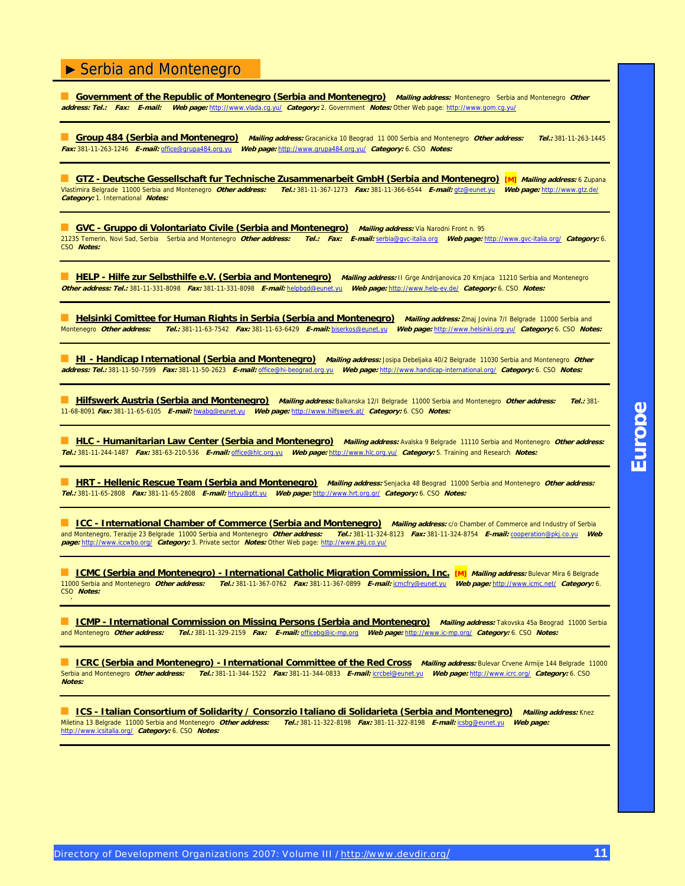**Government of the Republic of Montenegro (Serbia and Montenegro)** Mailing address: Montenegro Serbia and Montenegro Other **address: Tel.: Fax: E-mail: Web page:** [http://www.vlada.cg.yu/](http://www.vlada.cg.yu) **Category:** 2. Government **Notes:** Other Web page: [http://www.gom.cg.yu/](http://www.gom.cg.yu)

■ **Group 484 (Serbia and Montenegro) Mailing address:** Gracanicka 10 Beograd 11 000 Serbia and Montenegro **Other address: Tel.:** 381-11-263-1445 **Fax:** 381-11-263-1246 **E-mail:** [office@grupa484.org.yu](mailto:office@grupa484.org.yu) **Web page:** [http://www.grupa484.org.yu/](http://www.grupa484.org.yu) **Category:** 6. CSO **Notes:**

■ CTZ - Deutsche Gessellschaft fur Technische Zusammenarbeit GmbH (Serbia and Montenegro) [M] *Mailing address: 6* Zupana<br>Vlastimira Belgrade 11000 Serbia and Montenegro *Other address: Tel.:* 381-11-367-1273 *Fax:* 381-1 Vlastimira Belgrade 11000 Serbia and Montenegro **Other address: Tel.:** 381-11-367-1273 **Fax:** 381-11-366-6544 **E-mail:** [gtz@eunet.yu](mailto:gtz@eunet.yu) **Web page:** [http://www.gtz.de/](http://www.gtz.de) **Category:** 1. International **Notes:**

■ **GVC - Gruppo di Volontariato Civile (Serbia and Montenegro)** Mailing address: Via Narodni Front n. 95 21235 Temerin, Novi Sad, Serbia Serbia and Montenegro **Other address: Tel.: Fax: E-mail:** [serbia@gvc-italia.org](mailto:serbia@gvc-italia.org) **Web page:** [http://www.gvc-italia.org/](http://www.gvc-italia.org) **Category:** 6. CSO **Notes:**

■ **HELP - Hilfe zur Selbsthilfe e.V. (Serbia and Montenegro)** Mailing address: II Grge Andrijanovica 20 Krnjaca 11210 Serbia and Montenegro **Other address: Tel.:** 381-11-331-8098 **Fax:** 381-11-331-8098 **E-mail:** [helpbgd@eunet.yu](mailto:helpbgd@eunet.yu) **Web page:** [http://www.help-ev.de/](http://www.help-ev.de) **Category:** 6. CSO **Notes:**

**E Helsinki Comittee for Human Rights in Serbia (Serbia and Montenegro)** Mailing address: Zmaj Jovina 7/I Belgrade 11000 Serbia and<br>Montenegro Other address: Tel.: 381-11-63-7542 Fax: 381-11-63-6429 E-mail: biserkos@eunet. Montenegro **Other address: Tel.:** 381-11-63-7542 **Fax:** 381-11-63-6429 **E-mail:** [biserkos@eunet.yu](mailto:biserkos@eunet.yu) **Web page:** [http://www.helsinki.org.yu/](http://www.helsinki.org.yu) **Category:** 6. CSO **Notes:**

**HI - Handicap International (Serbia and Montenegro)** Mailing address: Josipa Debeljaka 40/2 Belgrade 11030 Serbia and Montenegro Other **address: Tel.:** 381-11-50-7599 **Fax:** 381-11-50-2623 **E-mail:** [office@hi-beograd.org.yu](mailto:office@hi-beograd.org.yu) **Web page:** [http://www.handicap-international.org/](http://www.handicap-international.org) **Category:** 6. CSO **Notes:**

■ **Hilfswerk Austria (Serbia and Montenegro) Mailing address:** Balkanska 12/I Belgrade 11000 Serbia and Montenegro **Other address: Tel.:** 381- 11-68-8091 **Fax:** 381-11-65-6105 **E-mail:** [hwabg@eunet.yu](mailto:hwabg@eunet.yu) **Web page:** [http://www.hilfswerk.at/](http://www.hilfswerk.at) **Category:** 6. CSO **Notes:**

**HLC - Humanitarian Law Center (Serbia and Montenegro)** Mailing address: Avalska 9 Belgrade 11110 Serbia and Montenegro Other address: **Tel.:** 381-11-244-1487 **Fax:** 381-63-210-536 **E-mail:** [office@hlc.org.yu](mailto:office@hlc.org.yu) **Web page:** [http://www.hlc.org.yu/](http://www.hlc.org.yu) **Category:** 5. Training and Research **Notes:**

**HRT - Hellenic Rescue Team (Serbia and Montenegro)** Mailing address: Senjacka 48 Beograd 11000 Serbia and Montenegro Other address: **Tel.:** 381-11-65-2808 **Fax:** 381-11-65-2808 **E-mail:** [hrtyu@ptt.yu](mailto:hrtyu@ptt.yu) **Web page:** [http://www.hrt.org.gr/](http://www.hrt.org.gr) **Category:** 6. CSO **Notes:**

■ **ICC - International Chamber of Commerce (Serbia and Montenegro)** Mailing address: c/o Chamber of Commerce and Industry of Serbia and Montenegro, Terazije 23 Belgrade 11000 Serbia and Montenegro **Other address: Tel.:** 381-11-324-8123 **Fax:** 381-11-324-8754 **E-mail:** [cooperation@pkj.co.yu](mailto:cooperation@pkj.co.yu) **Web page:** [http://www.iccwbo.org/](http://www.iccwbo.org) **Category:** 3. Private sector **Notes:** Other Web page: [http://www.pkj.co.yu/](http://www.pkj.co.yu)

■ **ICMC (Serbia and Montenegro) - International Catholic Migration Commission, Inc. [M] Mailing address:** Bulevar Mira 6 Belgrade 11000 Serbia and Montenegro **Other address: Tel.:** 381-11-367-0762 **Fax:** 381-11-367-0899 **E-mail:** [icmcfry@eunet.yu](mailto:icmcfry@eunet.yu) **Web page:** [http://www.icmc.net/](http://www.icmc.net) **Category:** 6. CSO **Notes:**

**E ICMP - International Commission on Missing Persons (Serbia and Montenegro)** *Mailing address:* **Takovska 45a Beograd 11000 Serbia<br>and Montenegro** *Other address: Tel.:* **381-11-329-2159** *Fax: E-mail:* **officebg@ic-mp.org** *We* and Montenegro **Other address: Tel.:** 381-11-329-2159 **Fax: E-mail:** [officebg@ic-mp.org](mailto:officebg@ic-mp.org) **Web page:** [http://www.ic-mp.org/](http://www.ic-mp.org) **Category:** 6. CSO **Notes:**

**Entry Commission Commission Commission Committee of the Red Cross** *Mailing address:* **Bulevar Crvene Armije 144 Belgrade 11000<br>Serbia and Montenegro** *Other address: Tel.:* **381-11-344-1522** *Fax:* **381-11-344-0833** *E-mail:*Serbia and Montenegro **Other address: Tel.:** 381-11-344-1522 **Fax:** 381-11-344-0833 **E-mail:** [icrcbel@eunet.yu](mailto:icrcbel@eunet.yu) **Web page:** [http://www.icrc.org/](http://www.icrc.org) **Category:** 6. CSO **Notes:**

■ ICS - Italian Consortium of Solidarity / Consorzio Italiano di Solidarieta (Serbia and Montenegro) Mailing address: Knez Miletina 13 Belgrade 11000 Serbia and Montenegro **Other address: Tel.:** 381-11-322-8198 **Fax:** 381-11-322-8198 **E-mail:** [icsbg@eunet.yu](mailto:icsbg@eunet.yu) **Web page:** [http://www.icsitalia.org/](http://www.icsitalia.org) **Category:** 6. CSO **Notes:**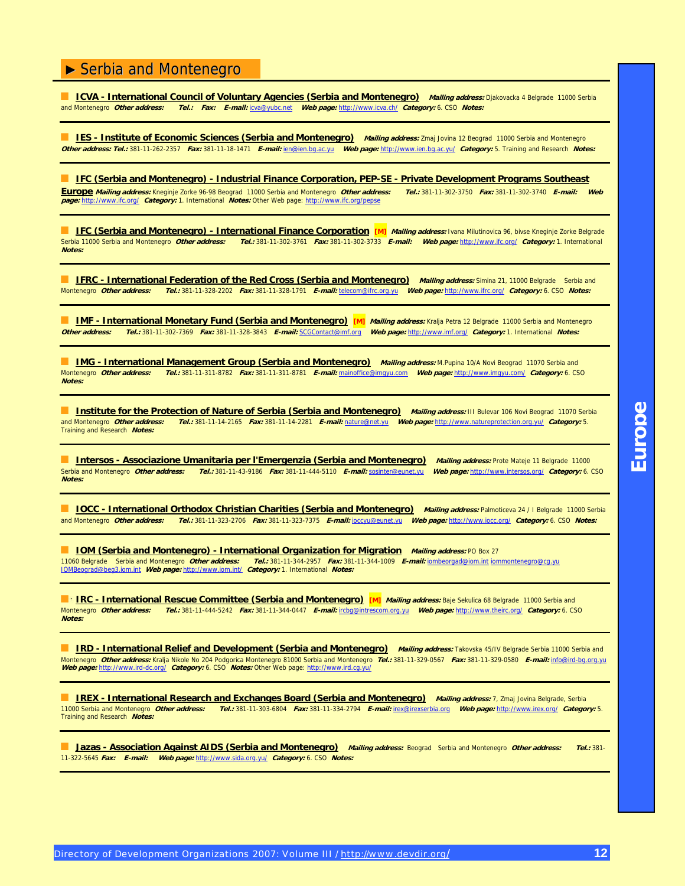■ <u>ICVA - International Council of Voluntary Agencies (Serbia and Montenegro) Mailing address: Djakovacka 4 Belgrade 11000 Serbia<br>and Montenegro *Other address: Tel.: Fax: E-mail:* icva@vubc.net Web page: http://www.icva.</u> and Montenegro **Other address: Tel.: Fax: E-mail:** [icva@yubc.net](mailto:icva@yubc.net) **Web page:** [http://www.icva.ch/](http://www.icva.ch) **Category:** 6. CSO **Notes:**

**IES - Institute of Economic Sciences (Serbia and Montenegro)** Mailing address: Zmaj Jovina 12 Beograd 11000 Serbia and Montenegro **Other address: Tel.:** 381-11-262-2357 **Fax:** 381-11-18-1471 **E-mail:** [ien@ien.bg.ac.yu](mailto:ien@ien.bg.ac.yu) **Web page:** [http://www.ien.bg.ac.yu/](http://www.ien.bg.ac.yu) **Category:** 5. Training and Research **Notes:**

■ **IFC (Serbia and Montenegro) - Industrial Finance Corporation, PEP-SE - Private Development Programs Southeast** 

**Europe Mailing address:** Kneginje Zorke 96-98 Beograd 11000 Serbia and Montenegro **Other address: Tel.:** 381-11-302-3750 **Fax:** 381-11-302-3740 **E-mail: Web page:** [http://www.ifc.org/](http://www.ifc.org) **Category:** 1. International **Notes:** Other Web page:<http://www.ifc.org/pepse>

**E IFC (Serbia and Montenegro) - International Finance Corporation [M] Mailing address: Ivana Milutinovica 96, bivse Kneginje Zorke Belgrade** Serbia 11000 Serbia and Montenegro **Other address: Tel.:** 381-11-302-3761 **Fax:** 381-11-302-3733 **E-mail: Web page:** [http://www.ifc.org/](http://www.ifc.org) **Category:** 1. International **Notes:**

**E. IFRC - International Federation of the Red Cross (Serbia and Montenegro)** Mailing address: Simina 21, 11000 Belgrade Serbia and Montenegro **Other address: Tel.:** 381-11-328-2202 **Fax:** 381-11-328-1791 **E-mail:** [telecom@ifrc.org.yu](mailto:telecom@ifrc.org.yu) **Web page:** [http://www.ifrc.org/](http://www.ifrc.org) **Category:** 6. CSO **Notes:**

**E IMF - International Monetary Fund (Serbia and Montenegro)** [M] *Mailing address:* Kralja Petra 12 Belgrade 11000 Serbia and Montenegro **Other address: Tel.:** 381-11-302-7369 **Fax:** 381-11-328-3843 **E-mail:** [SCGContact@imf.org](mailto:SCGContact@imf.org) **Web page:** [http://www.imf.org/](http://www.imf.org) **Category:** 1. International **Notes:**

**IMG - International Management Group (Serbia and Montenegro)** *Mailing address:* **M.Pupina 10/A Novi Beograd 11070 Serbia and<br>Montenegro** *Other address: Tel.:* **381-11-311-8782 Fax: 381-11-311-8781 E-mail: mainoffice@imgyu.c** Montenegro **Other address: Tel.:** 381-11-311-8782 **Fax:** 381-11-311-8781 **E-mail:** [mainoffice@imgyu.com](mailto:mainoffice@imgyu.com) **Web page:** [http://www.imgyu.com/](http://www.imgyu.com) **Category:** 6. CSO **Notes:**

**Institute for the Protection of Nature of Serbia (Serbia and Montenegro)** Mailing address: III Bulevar 106 Novi Beograd 11070 Serbia and Montenegro **Other address: Tel.:** 381-11-14-2165 **Fax:** 381-11-14-2281 **E-mail:** [nature@net.yu](mailto:nature@net.yu) **Web page:** [http://www.natureprotection.org.yu/](http://www.natureprotection.org.yu) **Category:** 5. Training and Research **Notes:**

**Intersos - Associazione Umanitaria per l'Emergenzia (Serbia and Montenegro)** *Mailing address:* **Prote Mateje 11 Belgrade 11000<br>Serbia and Montenegro** *Other address: Tel.:* **381-11-43-9186 Fax: 381-11-444-5110 E-mail: sosint** Serbia and Montenegro **Other address: Tel.:** 381-11-43-9186 **Fax:** 381-11-444-5110 **E-mail:** [sosinter@eunet.yu](mailto:sosinter@eunet.yu) **Web page:** [http://www.intersos.org/](http://www.intersos.org) **Category:** 6. CSO **Notes:**

**■ <u>IOCC - International Orthodox Christian Charities (Serbia and Montenegro)</u> Mailing address: Palmoticeva 24 / I Belgrade 11000 Serbia<br>and Montenegro Other address: Tel.: 381-11-323-2706 Fax: 381-11-323-7375 E-mail: locc** and Montenegro **Other address: Tel.:** 381-11-323-2706 **Fax:** 381-11-323-7375 **E-mail:** [ioccyu@eunet.yu](mailto:ioccyu@eunet.yu) **Web page:** [http://www.iocc.org/](http://www.iocc.org) **Category:** 6. CSO **Notes:**

**IOM (Serbia and Montenegro) - International Organization for Migration** *Mailing address:* **PO Box 27<br>11060 Belgrade Serbia and Montenegro** *Other address: Tel.:* **381-11-344-2957 Fax: 381-11-344-1009 E-mail: jombeorgad@lom.i** 11060 Belgrade Serbia and Montenegro **Other address: Tel.:** 381-11-344-2957 **Fax:** 381-11-344-1009 **E-mail:** [iombeorgad@iom.int](mailto:iombeorgad@iom.int) [iommontenegro@cg.yu](mailto:iommontenegro@cg.yu) [IOMBeograd@beg3.iom.int](mailto:IOMBeograd@beg3.iom.int) **Web page:** [http://www.iom.int/](http://www.iom.int) **Category:** 1. International **Notes:**

**E <sup>\*</sup> IRC - International Rescue Committee (Serbia and Montenegro) [M] Mailing address: Baje Sekulica 68 Belgrade 11000 Serbia and** Montenegro **Other address: Tel.:** 381-11-444-5242 **Fax:** 381-11-344-0447 **E-mail:** [ircbg@intrescom.org.yu](mailto:ircbg@intrescom.org.yu) **Web page:** [http://www.theirc.org/](http://www.theirc.org) **Category:** 6. CSO **Notes:**

■ **IRD - International Relief and Development (Serbia and Montenegro)** *Mailing address:* Takovska 45/IV Belgrade Serbia 11000 Serbia and Montenegro **Other address:** Kralja Nikole No 204 Podgorica Montenegro 81000 Serbia and Montenegro **Tel.:** 381-11-329-0567 **Fax:** 381-11-329-0580 **E-mail:** [info@ird-bg.org.yu](mailto:info@ird-bg.org.yu)  **Web page:** [http://www.ird-dc.org/](http://www.ird-dc.org) **Category:** 6. CSO **Notes:** Other Web page: [http://www.ird.cg.yu/](http://www.ird.cg.yu)

■ **IREX - International Research and Exchanges Board (Serbia and Montenegro) Mailing address:** 7, Zmaj Jovina Belgrade, Serbia 11000 Serbia and Montenegro **Other address: Tel.:** 381-11-303-6804 **Fax:** 381-11-334-2794 **E-mail:** [irex@irexserbia.org](mailto:irex@irexserbia.org) **Web page:** [http://www.irex.org/](http://www.irex.org) **Category:** 5. Training and Research **Notes:**

■ **Jazas - Association Against AIDS (Serbia and Montenegro) Mailing address:** Beograd Serbia and Montenegro **Other address: Tel.:** 381- 11-322-5645 **Fax: E-mail: Web page:** [http://www.sida.org.yu/](http://www.sida.org.yu) **Category:** 6. CSO **Notes:**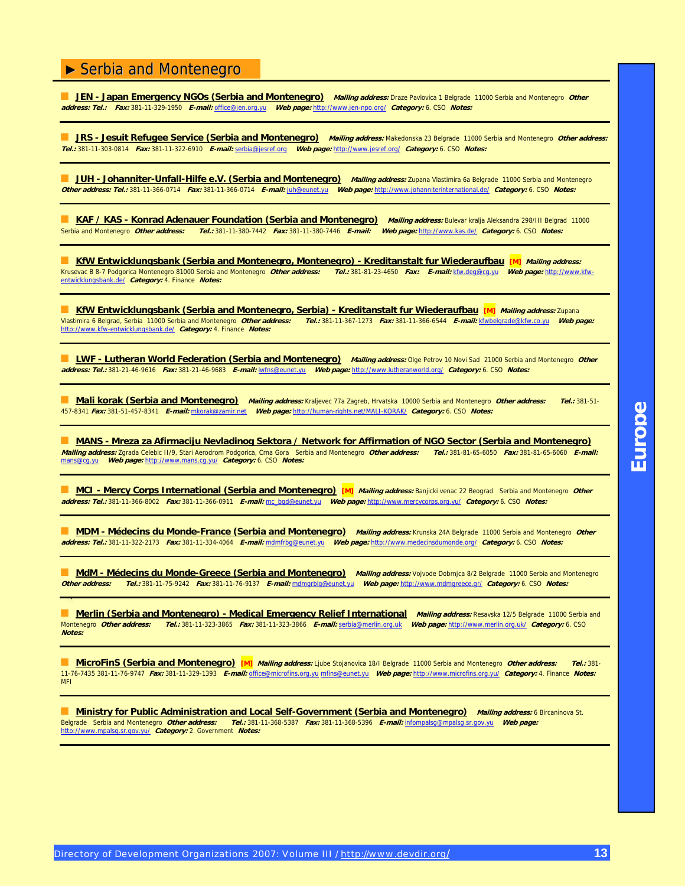**JEN - Japan Emergency NGOs (Serbia and Montenegro)** Mailing address: Draze Pavlovica 1 Belgrade 11000 Serbia and Montenegro Other **address: Tel.: Fax:** 381-11-329-1950 **E-mail:** [office@jen.org.yu](mailto:office@jen.org.yu) **Web page:** [http://www.jen-npo.org/](http://www.jen-npo.org) **Category:** 6. CSO **Notes:**

**JRS - Jesuit Refugee Service (Serbia and Montenegro)** Mailing address: Makedonska 23 Belgrade 11000 Serbia and Montenegro Other address: **Tel.:** 381-11-303-0814 **Fax:** 381-11-322-6910 **E-mail:** [serbia@jesref.org](mailto:serbia@jesref.org) **Web page:** [http://www.jesref.org/](http://www.jesref.org) **Category:** 6. CSO **Notes:**

**JUH - Johanniter-Unfall-Hilfe e.V. (Serbia and Montenegro)** Mailing address: Zupana Vlastimira 6a Belgrade 11000 Serbia and Montenegro **Other address: Tel.:** 381-11-366-0714 **Fax:** 381-11-366-0714 **E-mail:** [juh@eunet.yu](mailto:juh@eunet.yu) **Web page:** [http://www.johanniterinternational.de/](http://www.johanniterinternational.de) **Category:** 6. CSO **Notes:**

**MGRAT / KAS - Konrad Adenauer Foundation (Serbia and Montenegro) Mailing address: Bulevar kralja Aleksandra 298/III Belgrad 11000<br>Serbia and Montenegro** *Other address: Tel.:* **381-11-380-7442 Fax: 381-11-380-7446 E-mail: W** Serbia and Montenegro **Other address: Tel.:** 381-11-380-7442 **Fax:** 381-11-380-7446 **E-mail: Web page:** [http://www.kas.de/](http://www.kas.de) **Category:** 6. CSO **Notes:**

**KfW Entwicklungsbank (Serbia and Montenegro, Montenegro) - Kreditanstalt fur Wiederaufbau [M]** Mailing address: [Krusevac B 8-7 Podgorica Montenegro 81000 Serbia and Montenegro](http://www.kfw-entwicklungsbank.de) **Other address: Tel.:** 381-81-23-4650 **Fax: E-mail:** kfw[.deg@cg.yu](mailto:deg@cg.yu) **Web page:** [http://www.k](http://www.kfw-entwicklungsbank.de)fwentwicklungsbank[.de/](http://www.kfw-entwicklungsbank.de) **Category:** 4. Finance **Notes:**

■ KfW Entwicklungsbank (Serbia and Montenegro, Serbia) - Kreditanstalt fur Wiederaufbau [M] Mailing address: Zupana Vlastimira 6 Belgrad, Serbia 11000 Serbia and Montenegro **Other address: Tel.:** 381-11-367-1273 **Fax:** 381-11-366-6544 **E-mail:** [kfwbelgrade@kfw.co.yu](mailto:kfwbelgrade@kfw.co.yu) **Web page:** [http://www.kfw-entwicklungsbank.de/](http://www.kfw-entwicklungsbank.de) **Category:** 4. Finance **Notes:**

**LWF - Lutheran World Federation (Serbia and Montenegro)** Mailing address: Olge Petrov 10 Novi Sad 21000 Serbia and Montenegro Other **address: Tel.:** 381-21-46-9616 **Fax:** 381-21-46-9683 **E-mail:** [lwfns@eunet.yu](mailto:lwfns@eunet.yu) **Web page:** [http://www.lutheranworld.org/](http://www.lutheranworld.org) **Category:** 6. CSO **Notes:**

■ **Mali korak (Serbia and Montenegro) Mailing address:** Kraljevec 77a Zagreb, Hrvatska 10000 Serbia and Montenegro **Other address: Tel.:** 381-51- 457-8341 **Fax:** 381-51-457-8341 **E-mail:** [mkorak@zamir.net](mailto:mkorak@zamir.net) **Web page:** [http://human-rights.net/MALI-KORAK/](http://human-rights.net/MALI-KORAK) **Category:** 6. CSO **Notes:**

■ **MANS - Mreza za Afirmaciju Nevladinog Sektora / Network for Affirmation of NGO Sector (Serbia and Montenegro) Mailing address:** Zgrada Celebic II/9, Stari Aerodrom Podgorica, Crna Gora Serbia and Montenegro **Other address: Tel.:** 381-81-65-6050 **Fax:** 381-81-65-6060 **E-mail:** [mans@cg.yu](mailto:mans@cg.yu) **Web page:** [http://www.mans.cg.yu/](http://www.mans.cg.yu) **Category:** 6. CSO **Notes:**

**MCI - Mercy Corps International (Serbia and Montenegro)** [M] Mailing address: Banjicki venac 22 Beograd Serbia and Montenegro Other **address: Tel.:** 381-11-366-8002 **Fax:** 381-11-366-0911 **E-mail:** mc\_[bgd@eunet.yu](mailto:bgd@eunet.yu) **Web page:** [http://www.mercycorps.org.yu/](http://www.mercycorps.org.yu) **Category:** 6. CSO **Notes:**

■ **MDM - Médecins du Monde-France (Serbia and Montenegro) Mailing address:** Krunska 24A Belgrade 11000 Serbia and Montenegro **Other address: Tel.:** 381-11-322-2173 **Fax:** 381-11-334-4064 **E-mail:** [mdmfrbg@eunet.yu](mailto:mdmfrbg@eunet.yu) **Web page:** [http://www.medecinsdumonde.org/](http://www.medecinsdumonde.org) **Category:** 6. CSO **Notes:**

**MdM - Médecins du Monde-Greece (Serbia and Montenegro)** *Mailing address:* Vojvode Dobrnjca 8/2 Belgrade 11000 Serbia and Montenegro<br>Other address: Tel.: 381-11-75-9242 Fax: 381-11-76-9137 E-mail: mdmorblo@eunet.vu Web pa **Other address: Tel.:** 381-11-75-9242 **Fax:** 381-11-76-9137 **E-mail:** [mdmgrblg@eunet.yu](mailto:mdmgrblg@eunet.yu) **Web page:** [http://www.mdmgreece.gr/](http://www.mdmgreece.gr) **Category:** 6. CSO **Notes:**

**Merlin (Serbia and Montenegro) - Medical Emergency Relief International** *Mailing address:* **Resavska 12/5 Belgrade 11000 Serbia and<br>Montenegro** *Other address: Tel.:* **381-11-323-3865 Fax: 381-11-323-3866 E-mail: serbia@merl** Montenegro **Other address: Tel.:** 381-11-323-3865 **Fax:** 381-11-323-3866 **E-mail:** [serbia@merlin.org.uk](mailto:serbia@merlin.org.uk) **Web page:** [http://www.merlin.org.uk/](http://www.merlin.org.uk) **Category:** 6. CSO **Notes:**

■ **MicroFinS (Serbia and Montenegro) [M] Mailing address:** Ljube Stojanovica 18/I Belgrade 11000 Serbia and Montenegro **Other address: Tel.:** 381- 11-76-7435 381-11-76-9747 **Fax:** 381-11-329-1393 **E-mail:** [office@microfins.org.yu](mailto:office@microfins.org.yu) [mfins@eunet.yu](mailto:mfins@eunet.yu) **Web page:** [http://www.microfins.org.yu/](http://www.microfins.org.yu) **Category:** 4. Finance **Notes:** MFI

■ **Ministry for Public Administration and Local Self-Government (Serbia and Montenegro)** *Mailing address:* 6 Bircaninova St. Belgrade Serbia and Montenegro **Other address: Tel.:** 381-11-368-5387 **Fax:** 381-11-368-5396 **E-mail:** [infompalsg@mpalsg.sr.gov.yu](mailto:infompalsg@mpalsg.sr.gov.yu) **Web page:** [http://www.mpalsg.sr.gov.yu/](http://www.mpalsg.sr.gov.yu) **Category:** 2. Government **Notes:**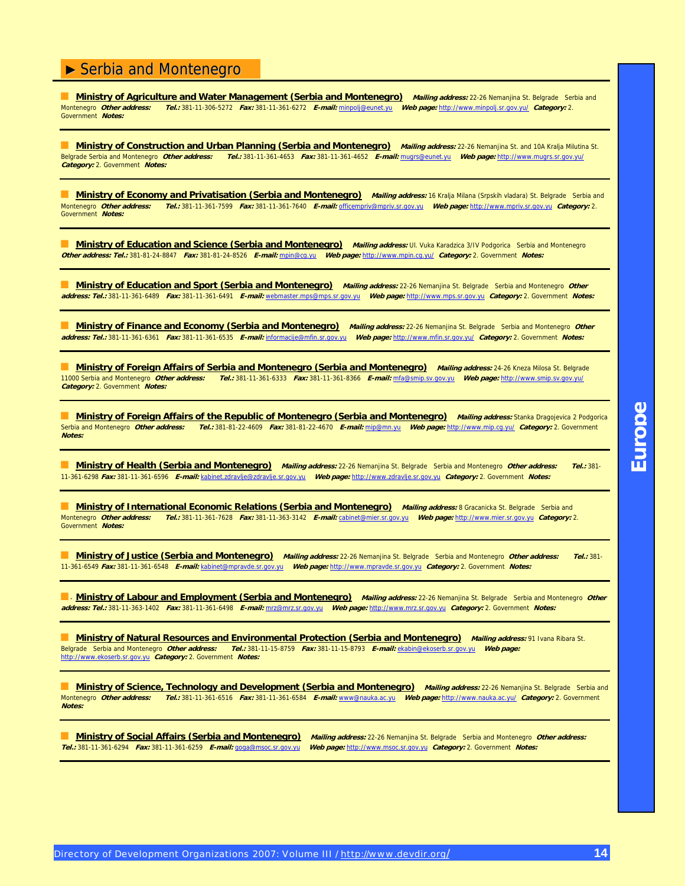**Ministry of Agriculture and Water Management (Serbia and Montenegro)** *Mailing address:* 22-26 Nemanjina St. Belgrade Serbia and<br>Montenegro *Other address: Tel.:* 381-11-306-5272 *Fax:* 381-11-361-6272 *F-mail:* minooli@e Montenegro **Other address: Tel.:** 381-11-306-5272 **Fax:** 381-11-361-6272 **E-mail:** [minpolj@eunet.yu](mailto:minpolj@eunet.yu) **Web page:** [http://www.minpolj.sr.gov.yu/](http://www.minpolj.sr.gov.yu) **Category:** 2. Government **Notes:**

**Ministry of Construction and Urban Planning (Serbia and Montenegro)** *Mailing address:* 22-26 Nemanjina St. and 10A Kralja Milutina St.<br>Belgrade Serbia and Montenegro *Other address: Tel.:* 381-11-361-4653 Fax: 381-11-361 Belgrade Serbia and Montenegro **Other address: Tel.:** 381-11-361-4653 **Fax:** 381-11-361-4652 **E-mail:** [mugrs@eunet.yu](mailto:mugrs@eunet.yu) **Web page:** [http://www.mugrs.sr.gov.yu/](http://www.mugrs.sr.gov.yu) **Category:** 2. Government **Notes:**

**Ministry of Economy and Privatisation (Serbia and Montenegro) Mailing address:** 16 Kralja Milana (Srpskih vladara) St. Belgrade Serbia and<br>Montenegro Other address: Tel.: 381-11-361-7599 Fax: 381-11-361-7640 E-mail: offic Montenegro **Other address: Tel.:** 381-11-361-7599 **Fax:** 381-11-361-7640 **E-mail:** [officempriv@mpriv.sr.gov.yu](mailto:officempriv@mpriv.sr.gov.yu) **Web page:** <http://www.mpriv.sr.gov.yu>**Category:** 2. Government **Notes:**

**Ministry of Education and Science (Serbia and Montenegro)** Mailing address: Ul. Vuka Karadzica 3/IV Podgorica Serbia and Montenegro **Other address: Tel.:** 381-81-24-8847 **Fax:** 381-81-24-8526 **E-mail:** [mpin@cg.yu](mailto:mpin@cg.yu) **Web page:** [http://www.mpin.cg.yu/](http://www.mpin.cg.yu) **Category:** 2. Government **Notes:**

**Ministry of Education and Sport (Serbia and Montenegro)** Mailing address: 22-26 Nemanjina St. Belgrade Serbia and Montenegro Other **address: Tel.:** 381-11-361-6489 **Fax:** 381-11-361-6491 **E-mail:** webmaster[.mps@mps.sr.gov.yu](mailto:mps@mps.sr.gov.yu) **Web page:** <http://www.mps.sr.gov.yu>**Category:** 2. Government **Notes:**

**Ministry of Finance and Economy (Serbia and Montenegro)** Mailing address: 22-26 Nemanjina St. Belgrade Serbia and Montenegro Other **address: Tel.:** 381-11-361-6361 **Fax:** 381-11-361-6535 **E-mail:** [informacije@mfin.sr.gov.yu](mailto:informacije@mfin.sr.gov.yu) **Web page:** [http://www.mfin.sr.gov.yu/](http://www.mfin.sr.gov.yu) **Category:** 2. Government **Notes:**

**Ministry of Foreign Affairs of Serbia and Montenegro (Serbia and Montenegro) Mailing address: 24-26 Kneza Milosa St. Belgrade<br>11000 Serbia and Montenegro** *Other address: Tel.:* **381-11-361-6333 Fax: 381-11-361-8366 E-mail:** 11000 Serbia and Montenegro **Other address: Tel.:** 381-11-361-6333 **Fax:** 381-11-361-8366 **E-mail:** [mfa@smip.sv.gov.yu](mailto:mfa@smip.sv.gov.yu) **Web page:** [http://www.smip.sv.gov.yu/](http://www.smip.sv.gov.yu) **Category:** 2. Government **Notes:**

■ **Ministry of Foreign Affairs of the Republic of Montenegro (Serbia and Montenegro)** *Mailing address:* Stanka Dragojevica 2 Podgorica Serbia and Montenegro **Other address: Tel.:** 381-81-22-4609 **Fax:** 381-81-22-4670 **E-mail:** [mip@mn.yu](mailto:mip@mn.yu) **Web page:** [http://www.mip.cg.yu/](http://www.mip.cg.yu) **Category:** 2. Government **Notes:**

■ **Ministry of Health (Serbia and Montenegro) Mailing address:** 22-26 Nemanjina St. Belgrade Serbia and Montenegro **Other address: Tel.:** 381- 11-361-6298 **Fax:** 381-11-361-6596 **E-mail:** kabinet.[zdravlje@zdravlje.sr.gov.yu](mailto:zdravlje@zdravlje.sr.gov.yu) **Web page:** <http://www.zdravlje.sr.gov.yu>**Category:** 2. Government **Notes:**

■ **Ministry of International Economic Relations (Serbia and Montenegro) Mailing address:** 8 Gracanicka St. Belgrade Serbia and Montenegro **Other address: Tel.:** 381-11-361-7628 **Fax:** 381-11-363-3142 **E-mail:** [cabinet@mier.sr.gov.yu](mailto:cabinet@mier.sr.gov.yu) **Web page:** <http://www.mier.sr.gov.yu>**Category:** 2. Government **Notes:**

■ **Ministry of Justice (Serbia and Montenegro) Mailing address:** 22-26 Nemanjina St. Belgrade Serbia and Montenegro **Other address: Tel.:** 381- 11-361-6549 **Fax:** 381-11-361-6548 **E-mail:** [kabinet@mpravde.sr.gov.yu](mailto:kabinet@mpravde.sr.gov.yu) **Web page:** <http://www.mpravde.sr.gov.yu>**Category:** 2. Government **Notes:**

**E.** Ministry of Labour and Employment (Serbia and Montenegro) Mailing address: 22-26 Nemanjina St. Belgrade Serbia and Montenegro Other **address: Tel.:** 381-11-363-1402 **Fax:** 381-11-361-6498 **E-mail:** [mrz@mrz.sr.gov.yu](mailto:mrz@mrz.sr.gov.yu) **Web page:** <http://www.mrz.sr.gov.yu>**Category:** 2. Government **Notes:**

■ **Ministry of Natural Resources and Environmental Protection (Serbia and Montenegro) Mailing address:** 91 Ivana Ribara St. Belgrade Serbia and Montenegro **Other address: Tel.:** 381-11-15-8759 **Fax:** 381-11-15-8793 **E-mail:** [ekabin@ekoserb.sr.gov.yu](mailto:ekabin@ekoserb.sr.gov.yu) **Web page:** <http://www.ekoserb.sr.gov.yu>**Category:** 2. Government **Notes:**

■ **Ministry of Science, Technology and Development (Serbia and Montenegro) Mailing address:** 22-26 Nemanjina St. Belgrade Serbia and Montenegro **Other address: Tel.:** 381-11-361-6516 **Fax:** 381-11-361-6584 **E-mail:** [www@nauka.ac.yu](mailto:www@nauka.ac.yu) **Web page:** [http://www.nauka.ac.yu/](http://www.nauka.ac.yu) **Category:** 2. Government **Notes:**

**Tel.:** 381-11-361-6294 **Fax:** 381-11-361-6259 **E-mail:** [goga@msoc.sr.gov.yu](mailto:goga@msoc.sr.gov.yu) **Web page:** <http://www.msoc.sr.gov.yu>**Category:** 2. Government **Notes:**

■ **Ministry of Social Affairs (Serbia and Montenegro) Mailing address:** 22-26 Nemanjina St. Belgrade Serbia and Montenegro **Other address:**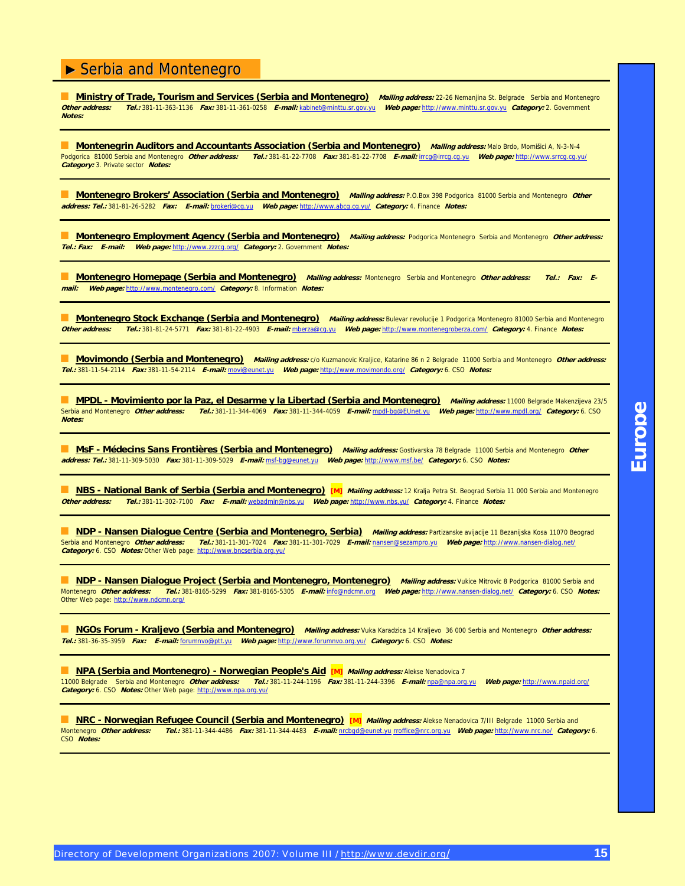**Ministry of Trade, Tourism and Services (Serbia and Montenegro)** *Mailing address:* 22-26 Nemanjina St. Belgrade Serbia and Montenegro<br> **Other address:** Tel 1381-11-363-1136 Fax: 381-11-361-0258 F-mail: kabinet@minttu.sr. **Other address: Tel.:** 381-11-363-1136 **Fax:** 381-11-361-0258 **E-mail:** [kabinet@minttu.sr.gov.yu](mailto:kabinet@minttu.sr.gov.yu) **Web page:** <http://www.minttu.sr.gov.yu>**Category:** 2. Government **Notes:**

■ **Montenegrin Auditors and Accountants Association (Serbia and Montenegro)** *Mailing address:* Malo Brdo, Momišici A, N-3-N-4 Podgorica 81000 Serbia and Montenegro **Other address: Tel.:** 381-81-22-7708 **Fax:** 381-81-22-7708 **E-mail:** [irrcg@irrcg.cg.yu](mailto:irrcg@irrcg.cg.yu) **Web page:** [http://www.srrcg.cg.yu/](http://www.srrcg.cg.yu) **Category:** 3. Private sector **Notes:**

■ **Montenegro Brokers' Association (Serbia and Montenegro) Mailing address:** P.O.Box 398 Podgorica 81000 Serbia and Montenegro **Other address: Tel.:** 381-81-26-5282 **Fax: E-mail:** [brokeri@cg.yu](mailto:brokeri@cg.yu) **Web page:** [http://www.abcg.cg.yu/](http://www.abcg.cg.yu) **Category:** 4. Finance **Notes:**

■ **Montenegro Employment Agency (Serbia and Montenegro) Mailing address:** Podgorica Montenegro Serbia and Montenegro **Other address: Tel.: Fax: E-mail: Web page:** [http://www.zzzcg.org/](http://www.zzzcg.org) **Category:** 2. Government **Notes:**

■ **Montenegro Homepage (Serbia and Montenegro) Mailing address:** Montenegro Serbia and Montenegro **Other address: Tel.: Fax: Email: Web page:** [http://www.montenegro.com/](http://www.montenegro.com) **Category:** 8. Information **Notes:**

**Montenegro Stock Exchange (Serbia and Montenegro)** *Mailing address:* Bulevar revolucije 1 Podgorica Montenegro 81000 Serbia and Montenegro<br>Other address: Tel.: 381-81-24-5771 Fax: 381-81-22-4903 E-mail: mberza@co.vu Web **Other address: Tel.:** 381-81-24-5771 **Fax:** 381-81-22-4903 **E-mail:** [mberza@cg.yu](mailto:mberza@cg.yu) **Web page:** [http://www.montenegroberza.com/](http://www.montenegroberza.com) **Category:** 4. Finance **Notes:**

■ **Movimondo (Serbia and Montenegro) Mailing address:** c/o Kuzmanovic Kraljice, Katarine 86 n 2 Belgrade 11000 Serbia and Montenegro **Other address: Tel.:** 381-11-54-2114 **Fax:** 381-11-54-2114 **E-mail:** [movi@eunet.yu](mailto:movi@eunet.yu) **Web page:** [http://www.movimondo.org/](http://www.movimondo.org) **Category:** 6. CSO **Notes:**

■ **MPDL - Movimiento por la Paz, el Desarme y la Libertad (Serbia and Montenegro) Mailing address:** 11000 Belgrade Makenzijeva 23/5 Serbia and Montenegro **Other address: Tel.:** 381-11-344-4069 **Fax:** 381-11-344-4059 **E-mail:** mpdl[-bg@EUnet.yu](mailto:bg@EUnet.yu) **Web page:** [http://www.mpdl.org/](http://www.mpdl.org) **Category:** 6. CSO **Notes:**

■ **MsF - Médecins Sans Frontières (Serbia and Montenegro) Mailing address:** Gostivarska 78 Belgrade 11000 Serbia and Montenegro **Other address: Tel.:** 381-11-309-5030 **Fax:** 381-11-309-5029 **E-mail:** msf[-bg@eunet.yu](mailto:bg@eunet.yu) **Web page:** [http://www.msf.be/](http://www.msf.be) **Category:** 6. CSO **Notes:**

■ **NBS - National Bank of Serbia (Serbia and Montenegro)** [M] *Mailing address:* 12 Kralja Petra St. Beograd Serbia 11 000 Serbia and Montenegro **Other address: Tel.:** 381-11-302-7100 **Fax: E-mail:** [webadmin@nbs.yu](mailto:webadmin@nbs.yu) **Web page:** [http://www.nbs.yu/](http://www.nbs.yu) **Category:** 4. Finance **Notes:**

**MDP - Nansen Dialogue Centre (Serbia and Montenegro, Serbia) Mailing address: Partizanske avijacije 11 Bezanijska Kosa 11070 Beograd<br>Serbia and Montenegro** *Other address: Tel.:* **381-11-301-7024** *Fax:* **381-11-301-7029** *E-m* Serbia and Montenegro **Other address: Tel.:** 381-11-301-7024 **Fax:** 381-11-301-7029 **E-mail:** [nansen@sezampro.yu](mailto:nansen@sezampro.yu) **Web page:** [http://www.nansen-dialog.net/](http://www.nansen-dialog.net)  **Category:** 6. CSO **Notes:** Other Web page: [http://www.bncserbia.org.yu/](http://www.bncserbia.org.yu)

**All The Province Mansen Dialogue Project (Serbia and Montenegro, Montenegro)** *Mailing address:* **Vukice Mitrovic 8 Podgorica 81000 Serbia and<br>Montenegro** *Other address: Tel.:* **381-8165-5299** *Fax:* **381-8165-5305** *E-mail:* **i** Montenegro **Other address: Tel.:** 381-8165-5299 **Fax:** 381-8165-5305 **E-mail:** [info@ndcmn.org](mailto:info@ndcmn.org) **Web page:** [http://www.nansen-dialog.net/](http://www.nansen-dialog.net) **Category:** 6. CSO **Notes:** Other Web page: [http://www.ndcmn.org/](http://www.ndcmn.org)

**NGOs Forum - Kraljevo (Serbia and Montenegro)** Mailing address: Vuka Karadzica 14 Kraljevo 36 000 Serbia and Montenegro Other address: **Tel.:** 381-36-35-3959 **Fax: E-mail:** [forumnvo@ptt.yu](mailto:forumnvo@ptt.yu) **Web page:** [http://www.forumnvo.org.yu/](http://www.forumnvo.org.yu) **Category:** 6. CSO **Notes:**

#### ■ **NPA (Serbia and Montenegro) - Norwegian People's Aid [M]** *Mailing address:* Alekse Nenadovica 7

11000 Belgrade Serbia and Montenegro **Other address: Tel.:** 381-11-244-1196 **Fax:** 381-11-244-3396 **E-mail:** [npa@npa.org.yu](mailto:npa@npa.org.yu) **Web page:** [http://www.npaid.org/](http://www.npaid.org) **Category:** 6. CSO **Notes:** Other Web page: [http://www.npa.org.yu/](http://www.npa.org.yu)

■ NRC - Norwegian Refugee Council (Serbia and Montenegro) [M] *Mailing address:* Alekse Nenadovica 7/III Belgrade 11000 Serbia and<br>Montenegro *Other address: Tel.:* 381-11-344-4486 *Fax:* 381-11-344-4483 *E-mail:* nrcbod@ Montenegro **Other address: Tel.:** 381-11-344-4486 **Fax:** 381-11-344-4483 **E-mail:** [nrcbgd@eunet.yu](mailto:nrcbgd@eunet.yu) [rroffice@nrc.org.yu](mailto:rroffice@nrc.org.yu) **Web page:** [http://www.nrc.no/](http://www.nrc.no) **Category:** 6. CSO **Notes:**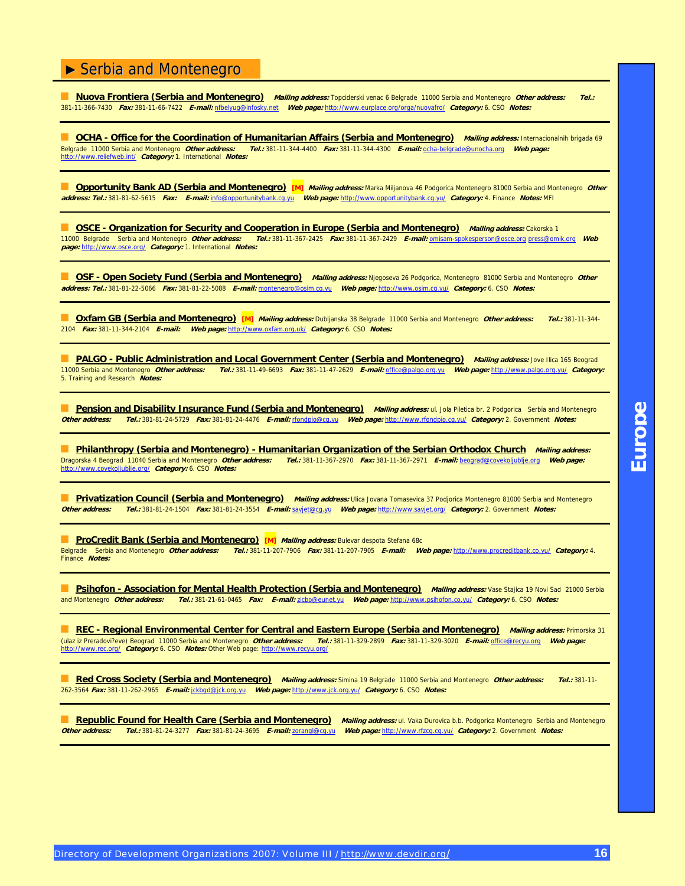■ **Nuova Frontiera (Serbia and Montenegro) Mailing address:** Topciderski venac 6 Belgrade 11000 Serbia and Montenegro **Other address: Tel.:** 381-11-366-7430 **Fax:** 381-11-66-7422 **E-mail:** [nfbelyug@infosky.net](mailto:nfbelyug@infosky.net) **Web page:** [http://www.eurplace.org/orga/nuovafro/](http://www.eurplace.org/orga/nuovafro) **Category:** 6. CSO **Notes:**

**CCHA - Office for the Coordination of Humanitarian Affairs (Serbia and Montenegro)** *Mailing address:* **Internacionalnih brigada 69<br>Belgrade 11000 Serbia and Montenegro** *Other address: Tel.***: 381-11-344-4400 Fax: 381-11-344** Belgrade 11000 Serbia and Montenegro **Other address: Tel.:** 381-11-344-4400 **Fax:** 381-11-344-4300 **E-mail:** ocha[-belgrade@unocha.org](mailto:belgrade@unocha.org) **Web page:** [http://www.reliefweb.int/](http://www.reliefweb.int) **Category:** 1. International **Notes:**

**Copportunity Bank AD (Serbia and Montenegro)** [M] Mailing address: Marka Miljanova 46 Podgorica Montenegro 81000 Serbia and Montenegro Other **address: Tel.:** 381-81-62-5615 **Fax: E-mail:** [info@opportunitybank.cg.yu](mailto:info@opportunitybank.cg.yu) **Web page:** [http://www.opportunitybank.cg.yu/](http://www.opportunitybank.cg.yu) **Category:** 4. Finance **Notes:** MFI

■ **OSCE - Organization for Security and Cooperation in Europe (Serbia and Montenegro)** *Mailing address:* **Cakorska 1</mark>** 11000 Belgrade Serbia and Montenegro **Other address: Tel.:** 381-11-367-2425 **Fax:** 381-11-367-2429 **E-mail:** omisam-[spokesperson@osce.org](mailto:spokesperson@osce.org) [press@omik.org](mailto:press@omik.org) **Web page:** [http://www.osce.org/](http://www.osce.org) **Category:** 1. International **Notes:**

**OSF - Open Society Fund (Serbia and Montenegro)** Mailing address: Njegoseva 26 Podgorica, Montenegro 81000 Serbia and Montenegro Other **address: Tel.:** 381-81-22-5066 **Fax:** 381-81-22-5088 **E-mail:** [montenegro@osim.cg.yu](mailto:montenegro@osim.cg.yu) **Web page:** [http://www.osim.cg.yu/](http://www.osim.cg.yu) **Category:** 6. CSO **Notes:**

■ **Oxfam GB (Serbia and Montenegro) [M] Mailing address:** Dubljanska 38 Belgrade 11000 Serbia and Montenegro **Other address: Tel.:** 381-11-344- 2104 **Fax:** 381-11-344-2104 **E-mail: Web page:** [http://www.oxfam.org.uk/](http://www.oxfam.org.uk) **Category:** 6. CSO **Notes:**

■ **PALGO - Public Administration and Local Government Center (Serbia and Montenegro)** *Mailing address:* **Jove Ilica 165 Beograd<br>11000 Serbia and Montenegro** *Other address: Tel.:* **381-11-49-6693** *Fax:* **381-11-47-2629** *E-mai* 11000 Serbia and Montenegro **Other address: Tel.:** 381-11-49-6693 **Fax:** 381-11-47-2629 **E-mail:** [office@palgo.org.yu](mailto:office@palgo.org.yu) **Web page:** [http://www.palgo.org.yu/](http://www.palgo.org.yu) **Category:** 5. Training and Research **Notes:**

**Bension and Disability Insurance Fund (Serbia and Montenegro)** Mailing address: ul. Jola Piletica br. 2 Podgorica Serbia and Montenegro<br>Other address: Tel.: 381-81-24-5729 Fax: 381-81-24-4476 E-mail: rfondpio@cg.vu Web pa **Other address: Tel.:** 381-81-24-5729 **Fax:** 381-81-24-4476 **E-mail:** [rfondpio@cg.yu](mailto:rfondpio@cg.yu) **Web page:** [http://www.rfondpio.cg.yu/](http://www.rfondpio.cg.yu) **Category:** 2. Government **Notes:**

■ **Philanthropy (Serbia and Montenegro) - Humanitarian Organization of the Serbian Orthodox Church Mailing address:** Dragorska 4 Beograd 11040 Serbia and Montenegro **Other address: Tel.:** 381-11-367-2970 **Fax:** 381-11-367-2971 **E-mail:** [beograd@covekoljublje.org](mailto:beograd@covekoljublje.org) **Web page:** [http://www.covekoljublje.org/](http://www.covekoljublje.org) **Category:** 6. CSO **Notes:**

**Privatization Council (Serbia and Montenegro)** Mailing address: Ulica Jovana Tomasevica 37 Podjorica Montenegro 81000 Serbia and Montenegro **Other address: Tel.:** 381-81-24-1504 **Fax:** 381-81-24-3554 **E-mail:** [savjet@cg.yu](mailto:savjet@cg.yu) **Web page:** [http://www.savjet.org/](http://www.savjet.org) **Category:** 2. Government **Notes:**

**External ProCredit Bank (Serbia and Montenegro) [M]** *Mailing address:* **Bulevar despota Stefana 68c<br>Belgrade Serbia and Montenegro** *Other address: Tel.:* **381-11-207-7906** *Fax:* **381-11-207-7905** *E-mail: W* Belgrade Serbia and Montenegro **Other address: Tel.:** 381-11-207-7906 **Fax:** 381-11-207-7905 **E-mail: Web page:** [http://www.procreditbank.co.yu/](http://www.procreditbank.co.yu) **Category:** 4. Finance **Notes:**

**Bellia Concompted - Association for Mental Health Protection (Serbia and Montenegro)** Mailing address: Vase Stajica 19 Novi Sad 21000 Serbia and Montenegro **Other address: Tel.:** 381-21-61-0465 **Fax: E-mail:** [zicbo@eunet.yu](mailto:zicbo@eunet.yu) **Web page:** [http://www.psihofon.co.yu/](http://www.psihofon.co.yu) **Category:** 6. CSO **Notes:**

■ **REC - Regional Environmental Center for Central and Eastern Europe (Serbia and Montenegro)** Mailing address: Primorska 31 (ulaz iz Preradovi?eve) Beograd 11000 Serbia and Montenegro **Other address: Tel.:** 381-11-329-2899 **Fax:** 381-11-329-3020 **E-mail:** [office@recyu.org](mailto:office@recyu.org) **Web page:** [http://www.rec.org/](http://www.rec.org) **Category:** 6. CSO **Notes:** Other Web page: [http://www.recyu.org/](http://www.recyu.org)

■ **Red Cross Society (Serbia and Montenegro) Mailing address:** Simina 19 Belgrade 11000 Serbia and Montenegro **Other address: Tel.:** 381-11- 262-3564 **Fax:** 381-11-262-2965 **E-mail:** [jckbgd@jck.org.yu](mailto:jckbgd@jck.org.yu) **Web page:** [http://www.jck.org.yu/](http://www.jck.org.yu) **Category:** 6. CSO **Notes:**

Republic Found for Health Care (Serbia and Montenegro) Mailing address: ul. Vaka Durovica b.b. Podgorica Montenegro Serbia and Montenegro **Other address: Tel.:** 381-81-24-3277 **Fax:** 381-81-24-3695 **E-mail:** [zorangl@cg.yu](mailto:zorangl@cg.yu) **Web page:** [http://www.rfzcg.cg.yu/](http://www.rfzcg.cg.yu) **Category:** 2. Government **Notes:**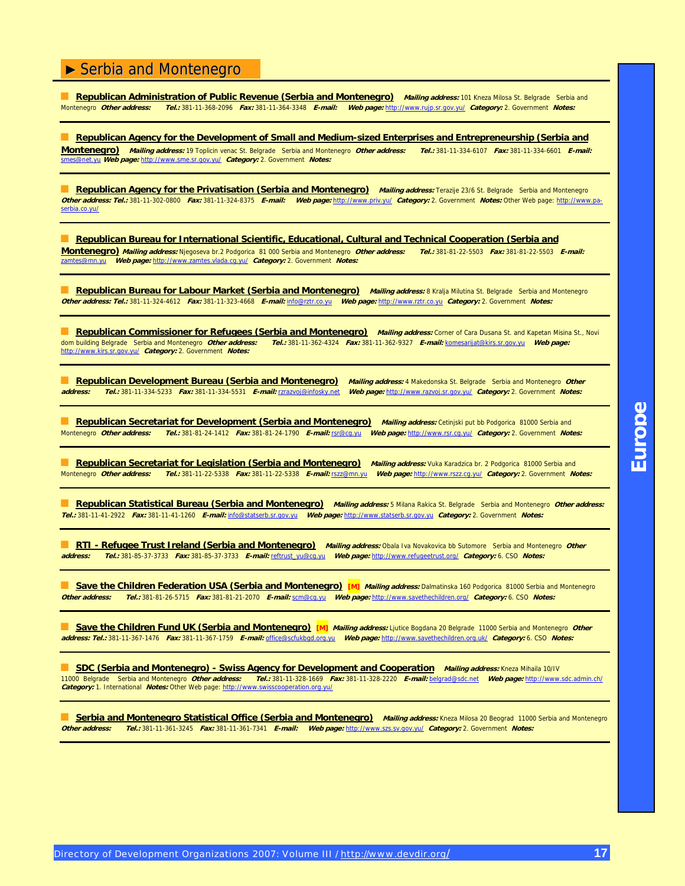**Bepublican Administration of Public Revenue (Serbia and Montenegro)** *Mailing address:* **101 Kneza Milosa St. Belgrade Serbia and<br>Montenegro Other address: Tel.: 381-11-368-2096 Fax: 381-11-364-3348 E-mail: Web page: http** Montenegro **Other address: Tel.:** 381-11-368-2096 **Fax:** 381-11-364-3348 **E-mail: Web page:** [http://www.rujp.sr.gov.yu/](http://www.rujp.sr.gov.yu) **Category:** 2. Government **Notes:**

**Republican Agency for the Development of Small and Medium-sized Enterprises and Entrepreneurship (Serbia and Montenegro) Mailing address:** 19 Toplicin venac St. Belgrade Serbia and Montenegro **Other address: Tel.:** 381-11-334-6107 **Fax:** 381-11-334-6601 **E-mail:** [smes@net.yu](mailto:smes@net.yu) **Web page:** [http://www.sme.sr.gov.yu/](http://www.sme.sr.gov.yu) **Category:** 2. Government **Notes:**

Republican Agency for the Privatisation (Serbia and Montenegro) Mailing address: Terazije 23/6 St. Belgrade Serbia and Montenegro **Other address: Tel.:** 381-11-302-0800 **Fax:** 381-11-324-8375 **E-mail: Web page:** [http://www.priv.yu/](http://www.priv.yu) **Category:** 2. Government **Notes:** [Other Web page: http://www.pa](http://www.pa-serbia.co.yu)serbia[.co.yu/](http://www.pa-serbia.co.yu)

■ **Republican Bureau for International Scientific, Educational, Cultural and Technical Cooperation (Serbia and Montenegro) Mailing address:** Njegoseva br.2 Podgorica 81 000 Serbia and Montenegro **Other address: Tel.:** 381-81-22-5503 **Fax:** 381-81-22-5503 **E-mail:** [zamtes@mn.yu](mailto:zamtes@mn.yu) **Web page:** [http://www.zamtes.vlada.cg.yu/](http://www.zamtes.vlada.cg.yu) **Category:** 2. Government **Notes:**

■ **Republican Bureau for Labour Market (Serbia and Montenegro) Mailing address:** 8 Kralja Milutina St. Belgrade Serbia and Montenegro **Other address: Tel.:** 381-11-324-4612 **Fax:** 381-11-323-4668 **E-mail:** [info@rztr.co.yu](mailto:info@rztr.co.yu) **Web page:** <http://www.rztr.co.yu>**Category:** 2. Government **Notes:**

**Bepublican Commissioner for Refugees (Serbia and Montenegro)** Mailing address: Corner of Cara Dusana St. and Kapetan Misina St., Novi<br>dom building Belgrade Serbia and Montenegro Other address: Tel.: 381-11-362-4324 Fax: 3 dom building Belgrade Serbia and Montenegro **Other address: Tel.:** 381-11-362-4324 **Fax:** 381-11-362-9327 **E-mail:** [komesarijat@kirs.sr.gov.yu](mailto:komesarijat@kirs.sr.gov.yu) **Web page:** [http://www.kirs.sr.gov.yu/](http://www.kirs.sr.gov.yu) **Category:** 2. Government **Notes:**

■ **Republican Development Bureau (Serbia and Montenegro)** Mailing address: 4 Makedonska St. Belgrade Serbia and Montenegro *Other*<br>address: Tel.: 381-11-334-5233 Fax: 381-11-334-5531 E-mail: rzrazvoi@infosky.net Web page: **address: Tel.:** 381-11-334-5233 **Fax:** 381-11-334-5531 **E-mail:** [rzrazvoj@infosky.net](mailto:rzrazvoj@infosky.net) **Web page:** [http://www.razvoj.sr.gov.yu/](http://www.razvoj.sr.gov.yu) **Category:** 2. Government **Notes:**

**Republican Secretariat for Development (Serbia and Montenegro) Mailing address: Cetinjski put bb Podgorica 81000 Serbia and** Montenegro **Other address: Tel.:** 381-81-24-1412 **Fax:** 381-81-24-1790 **E-mail:** [rsr@cg.yu](mailto:rsr@cg.yu) **Web page:** [http://www.rsr.cg.yu/](http://www.rsr.cg.yu) **Category:** 2. Government **Notes:**

**Republican Secretariat for Legislation (Serbia and Montenegro)** Mailing address: Vuka Karadzica br. 2 Podgorica 81000 Serbia and Montenegro **Other address: Tel.:** 381-11-22-5338 **Fax:** 381-11-22-5338 **E-mail:** [rszz@mn.yu](mailto:rszz@mn.yu) **Web page:** [http://www.rszz.cg.yu/](http://www.rszz.cg.yu) **Category:** 2. Government **Notes:**

Republican Statistical Bureau (Serbia and Montenegro) Mailing address: 5 Milana Rakica St. Belgrade Serbia and Montenegro Other address: **Tel.:** 381-11-41-2922 **Fax:** 381-11-41-1260 **E-mail:** [info@statserb.sr.gov.yu](mailto:info@statserb.sr.gov.yu) **Web page:** <http://www.statserb.sr.gov.yu>**Category:** 2. Government **Notes:**

■ **RTI - Refugee Trust Ireland (Serbia and Montenegro) Mailing address:** Obala Iva Novakovica bb Sutomore Serbia and Montenegro **Other address: Tel.:** 381-85-37-3733 **Fax:** 381-85-37-3733 **E-mail:** reftrust[\\_yu@cg.yu](mailto:yu@cg.yu) **Web page:** [http://www.refugeetrust.org/](http://www.refugeetrust.org) **Category:** 6. CSO **Notes:**

**B Save the Children Federation USA (Serbia and Montenegro)** [M] *Mailing address:* Dalmatinska 160 Podgorica 81000 Serbia and Montenegro<br>Other address: Tel.: 381-81-26-5715 Fax: 381-81-21-2070 E-mail: scm@cq.yu Web page: **Other address: Tel.:** 381-81-26-5715 **Fax:** 381-81-21-2070 **E-mail:** [scm@cg.yu](mailto:scm@cg.yu) **Web page:** [http://www.savethechildren.org/](http://www.savethechildren.org) **Category:** 6. CSO **Notes:**

**Save the Children Fund UK (Serbia and Montenegro)** [M] Mailing address: Ljutice Bogdana 20 Belgrade 11000 Serbia and Montenegro Other **address: Tel.:** 381-11-367-1476 **Fax:** 381-11-367-1759 **E-mail:** [office@scfukbgd.org.yu](mailto:office@scfukbgd.org.yu) **Web page:** [http://www.savethechildren.org.uk/](http://www.savethechildren.org.uk) **Category:** 6. CSO **Notes:**

■ **SDC (Serbia and Montenegro) - Swiss Agency for Development and Cooperation Mailing address:** Kneza Mihaila 10/IV 11000 Belgrade Serbia and Montenegro **Other address: Tel.:** 381-11-328-1669 **Fax:** 381-11-328-2220 **E-mail:** [belgrad@sdc.net](mailto:belgrad@sdc.net) **Web page:** [http://www.sdc.admin.ch/](http://www.sdc.admin.ch) **Category:** 1. International **Notes:** Other Web page: [http://www.swisscooperation.org.yu/](http://www.swisscooperation.org.yu)

**Exerbia and Montenegro Statistical Office (Serbia and Montenegro)** Mailing address: Kneza Milosa 20 Beograd 11000 Serbia and Montenegro **Other address: Tel.:** 381-11-361-3245 **Fax:** 381-11-361-7341 **E-mail: Web page:** [http://www.szs.sv.gov.yu/](http://www.szs.sv.gov.yu) **Category:** 2. Government **Notes:**

**Europe**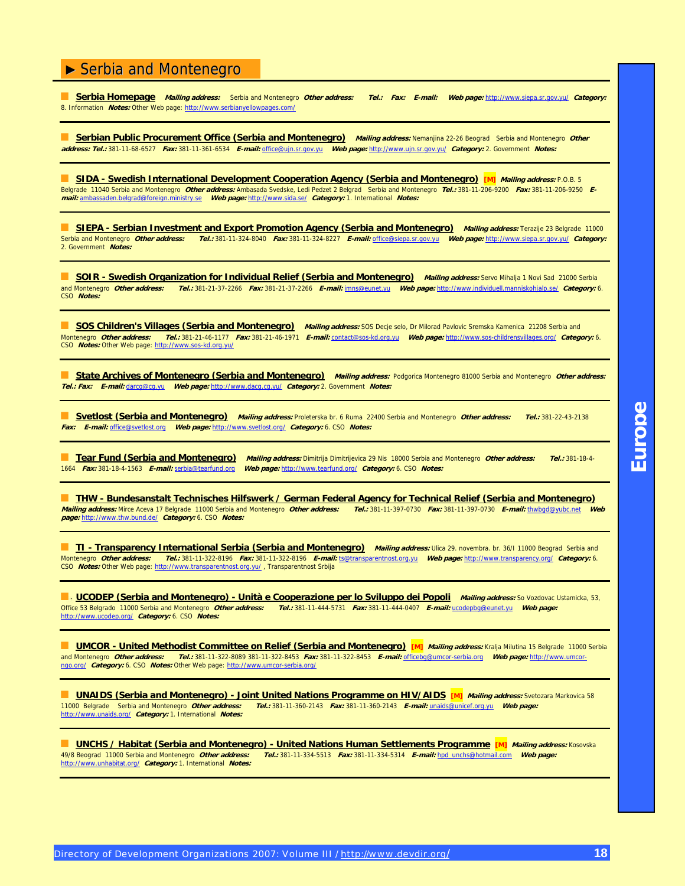■ **Serbia Homepage Mailing address:** Serbia and Montenegro **Other address: Tel.: Fax: E-mail: Web page:** [http://www.siepa.sr.gov.yu/](http://www.siepa.sr.gov.yu) **Category:** 8. Information **Notes:** Other Web page: [http://www.serbianyellowpages.com/](http://www.serbianyellowpages.com)

■ **Serbian Public Procurement Office (Serbia and Montenegro) Mailing address:** Nemanjina 22-26 Beograd Serbia and Montenegro **Other address: Tel.:** 381-11-68-6527 **Fax:** 381-11-361-6534 **E-mail:** [office@ujn.sr.gov.yu](mailto:office@ujn.sr.gov.yu) **Web page:** [http://www.ujn.sr.gov.yu/](http://www.ujn.sr.gov.yu) **Category:** 2. Government **Notes:**

■ **SIDA - Swedish International Development Cooperation Agency (Serbia and Montenegro) [M] Mailing address:** P.O.B. 5 Belgrade 11040 Serbia and Montenegro **Other address:** Ambasada Svedske, Ledi Pedzet 2 Belgrad Serbia and Montenegro **Tel.:** 381-11-206-9200 **Fax:** 381-11-206-9250 **Email:** ambassaden[.belgrad@foreign.ministry.se](mailto:belgrad@foreign.ministry.se) **Web page:** [http://www.sida.se/](http://www.sida.se) **Category:** 1. International **Notes:**

**BEPA - Serbian Investment and Export Promotion Agency (Serbia and Montenegro) Mailing address: Terazije 23 Belgrade 11000** Serbia and Montenegro **Other address: Tel.:** 381-11-324-8040 **Fax:** 381-11-324-8227 **E-mail:** [office@siepa.sr.gov.yu](mailto:office@siepa.sr.gov.yu) **Web page:** [http://www.siepa.sr.gov.yu/](http://www.siepa.sr.gov.yu) **Category:** 2. Government **Notes:**

■ **SOIR - Swedish Organization for Individual Relief (Serbia and Montenegro)** Mailing address: Servo Mihalja 1 Novi Sad 21000 Serbia and Montenegro **Other address: Tel.:** 381-21-37-2266 **Fax:** 381-21-37-2266 **E-mail:** [imns@eunet.yu](mailto:imns@eunet.yu) **Web page:** [http://www.individuell.manniskohjalp.se/](http://www.individuell.manniskohjalp.se) **Category:** 6. CSO **Notes:**

■ **SOS Children's Villages (Serbia and Montenegro)** Mailing address: SOS Decje selo, Dr Milorad Pavlovic Sremska Kamenica 21208 Serbia and Montenegro **Other address: Tel.:** 381-21-46-1177 **Fax:** 381-21-46-1971 **E-mail:** [contact@sos-kd.org.yu](mailto:contact@sos-kd.org.yu) **Web page:** [http://www.sos-childrensvillages.org/](http://www.sos-childrensvillages.org) **Category:** 6. CSO **Notes:** Other Web page: [http://www.sos-kd.org.yu/](http://www.sos-kd.org.yu)

■ **State Archives of Montenegro (Serbia and Montenegro)** Mailing address: Podgorica Montenegro 81000 Serbia and Montenegro Other address: **Tel.: Fax: E-mail:** [darcg@cg.yu](mailto:darcg@cg.yu) **Web page:** [http://www.dacg.cg.yu/](http://www.dacg.cg.yu) **Category:** 2. Government **Notes:**

■ **Svetlost (Serbia and Montenegro) Mailing address:** Proleterska br. 6 Ruma 22400 Serbia and Montenegro **Other address: Tel.:** 381-22-43-2138 **Fax: E-mail:** [office@svetlost.org](mailto:office@svetlost.org) **Web page:** [http://www.svetlost.org/](http://www.svetlost.org) **Category:** 6. CSO **Notes:**

■ **Tear Fund (Serbia and Montenegro) Mailing address:** Dimitrija Dimitrijevica 29 Nis 18000 Serbia and Montenegro **Other address: Tel.:** 381-18-4- 1664 **Fax:** 381-18-4-1563 **E-mail:** [serbia@tearfund.org](mailto:serbia@tearfund.org) **Web page:** [http://www.tearfund.org/](http://www.tearfund.org) **Category:** 6. CSO **Notes:**

■ **THW - Bundesanstalt Technisches Hilfswerk / German Federal Agency for Technical Relief (Serbia and Montenegro) Mailing address:** Mirce Aceva 17 Belgrade 11000 Serbia and Montenegro **Other address: Tel.:** 381-11-397-0730 **Fax:** 381-11-397-0730 **E-mail:** [thwbgd@yubc.net](mailto:thwbgd@yubc.net) **Web page:** [http://www.thw.bund.de/](http://www.thw.bund.de) **Category:** 6. CSO **Notes:**

**TI - Transparency International Serbia (Serbia and Montenegro)** *Mailing address:* **Ulica 29. novembra. br. 36/I 11000 Beograd Serbia and<br>Montenegro** *Other address: Tel.:* **381-11-322-8196** *Fax:* **381-11-322-8196** *E-mail:* **ts** Montenegro **Other address: Tel.:** 381-11-322-8196 **Fax:** 381-11-322-8196 **E-mail:** [ts@transparentnost.org.yu](mailto:ts@transparentnost.org.yu) **Web page:** [http://www.transparency.org/](http://www.transparency.org) **Category:** 6. CSO Notes: Other Web page: http://www.transparentnost.org.yu/, Transparentnost Srbija

**■ · <u>UCODEP (Serbia and Montenegro) - Unità e Cooperazione per lo Sviluppo dei Popoli** *Mailing address:* **So Vozdovac Ustamicka, 53,**</u> Office 53 Belgrado 11000 Serbia and Montenegro **Other address: Tel.:** 381-11-444-5731 **Fax:** 381-11-444-0407 **E-mail:** [ucodepbg@eunet.yu](mailto:ucodepbg@eunet.yu) **Web page:** [http://www.ucodep.org/](http://www.ucodep.org) **Category:** 6. CSO **Notes:**

**UMCOR - United Methodist Committee on Relief (Serbia and Montenegro) [M]** *Mailing address: Kralja Milutina 15 Belgrade 11000 Serbia* and Montenegro *Other address: Tel.: 381-11-322-8089 381-11-322-8453 Fax: 381-11-322-84* and Montenegro **Other address: Tel.:** 381-11-322-8089 381-11-322-8453 **Fax:** 381-11-322-8453 **E-mail:** [officebg@umcor-serbia.org](mailto:officebg@umcor-serbia.org) **Web page:** [http://www.](http://www.umcor-ngo.org)umcorngo[.org/](http://www.umcor-ngo.org) **Category:** 6. CSO **Notes:** [Other Web page: http://www.umcor-serbia.org/](http://www.umcor-ngo.org)

**UNAIDS (Serbia and Montenegro) - Joint United Nations Programme on HIV/AIDS [M]** *Mailing address:* **Svetozara Markovica 58<br>11000 Belgrade Serbia and Montenegro** *Other address: Tel.:* **381-11-360-2143 Fax: 381-11-360-2143 F-**11000 Belgrade Serbia and Montenegro **Other address: Tel.:** 381-11-360-2143 **Fax:** 381-11-360-2143 **E-mail:** [unaids@unicef.org.yu](mailto:unaids@unicef.org.yu) **Web page:** [http://www.unaids.org/](http://www.unaids.org) **Category:** 1. International **Notes:**

■ **UNCHS / Habitat (Serbia and Montenegro) - United Nations Human Settlements Programme [M] Mailing address:** Kosovska 49/8 Beograd 11000 Serbia and Montenegro **Other address: Tel.:** 381-11-334-5513 **Fax:** 381-11-334-5314 **E-mail:** hpd[\\_unchs@hotmail.com](mailto:unchs@hotmail.com) **Web page:** [http://www.unhabitat.org/](http://www.unhabitat.org) **Category:** 1. International **Notes:**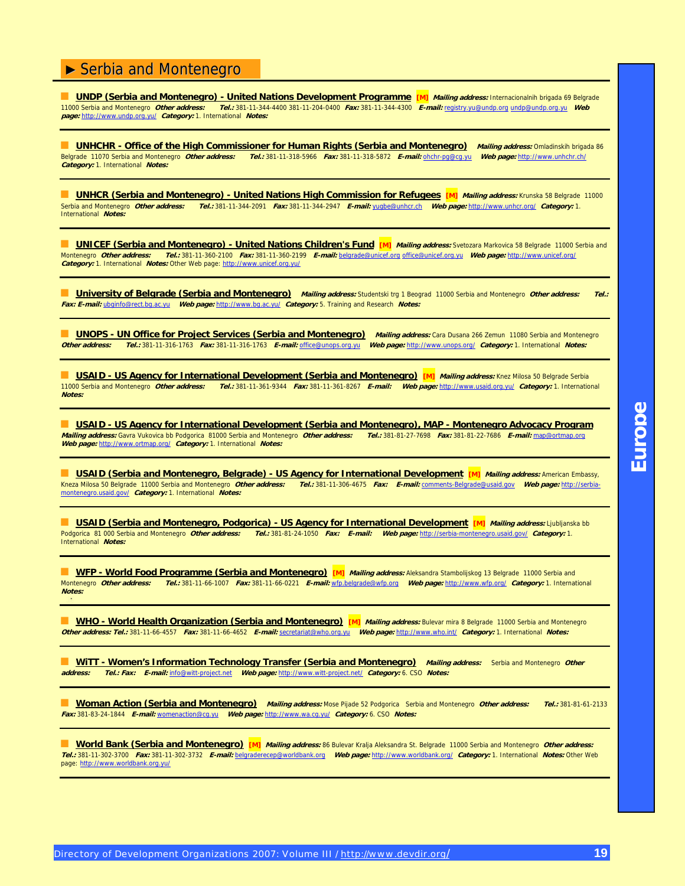**UNDP (Serbia and Montenegro) - United Nations Development Programme [M]** *Mailing address:* **Internacionalnih brigada 69 Belgrade<br>11000 Serbia and Montenegro** *Other address: Tel.:* **381-11-344-4400 381-11-204-0400** *Fax:* **381** 11000 Serbia and Montenegro **Other address: Tel.:** 381-11-344-4400 381-11-204-0400 **Fax:** 381-11-344-4300 **E-mail:** registry.[yu@undp.org](mailto:yu@undp.org) [undp@undp.org.yu](mailto:undp@undp.org.yu) **Web page:** [http://www.undp.org.yu/](http://www.undp.org.yu) **Category:** 1. International **Notes:**

**UNHCHR - Office of the High Commissioner for Human Rights (Serbia and Montenegro)** Mailing address: Omladinskih brigada 86 Belgrade 11070 Serbia and Montenegro **Other address: Tel.:** 381-11-318-5966 **Fax:** 381-11-318-5872 **E-mail:** ohchr[-pg@cg.yu](mailto:pg@cg.yu) **Web page:** [http://www.unhchr.ch/](http://www.unhchr.ch) **Category:** 1. International **Notes:**

**■ UNHCR (Serbia and Montenegro) - United Nations High Commission for Refugees [M]** *Mailing address:* **Krunska 58 Belgrade 11000<br>Serbia and Montenegro** *Other address: Tel.:* **381-11-344-2091 Fax: 381-11-344-2947 E-mail: yugb** Serbia and Montenegro **Other address: Tel.:** 381-11-344-2091 **Fax:** 381-11-344-2947 **E-mail:** [yugbe@unhcr.ch](mailto:yugbe@unhcr.ch) **Web page:** [http://www.unhcr.org/](http://www.unhcr.org) **Category:** 1. International **Notes:**

**UNICEF (Serbia and Montenegro) - United Nations Children's Fund [M] Mailing address: Svetozara Markovica 58 Belgrade 11000 Serbia and** Montenegro **Other address: Tel.:** 381-11-360-2100 **Fax:** 381-11-360-2199 **E-mail:** [belgrade@unicef.org](mailto:belgrade@unicef.org) [office@unicef.org.yu](mailto:office@unicef.org.yu) **Web page:** [http://www.unicef.org/](http://www.unicef.org) **Category:** 1. International **Notes:** Other Web page: [http://www.unicef.org.yu/](http://www.unicef.org.yu)

**University of Belgrade (Serbia and Montenegro)** Mailing address: Studentski trg 1 Beograd 11000 Serbia and Montenegro Other address: Tel.: **Fax: E-mail:** [ubginfo@rect.bg.ac.yu](mailto:ubginfo@rect.bg.ac.yu) **Web page:** [http://www.bg.ac.yu/](http://www.bg.ac.yu) **Category:** 5. Training and Research **Notes:**

**UNOPS - UN Office for Project Services (Serbia and Montenegro)** Mailing address: Cara Dusana 266 Zemun 11080 Serbia and Montenegro<br>**Other address: Tel.: 381-11-316-1763** Fax: 381-11-316-1763 E-mail: office@unops.org.yu We **Other address: Tel.:** 381-11-316-1763 **Fax:** 381-11-316-1763 **E-mail:** [office@unops.org.yu](mailto:office@unops.org.yu) **Web page:** [http://www.unops.org/](http://www.unops.org) **Category:** 1. International **Notes:**

**LISAID - US Agency for International Development (Serbia and Montenegro) [M]** Mailing address: Knez Milosa 50 Belgrade Serbia 11000 Serbia and Montenegro **Other address: Tel.:** 381-11-361-9344 **Fax:** 381-11-361-8267 **E-mail: Web page:** [http://www.usaid.org.yu/](http://www.usaid.org.yu) **Category:** 1. International **Notes:**

**USAID - US Agency for International Development (Serbia and Montenegro), MAP - Montenegro Advocacy Program (Bill<br>
<b>Iling address:** Gavra Vukovica bb Podgorica 81000 Serbia and Montenegro *Other address: Tel.*: 381-81-27-7 **Mailing address:** Gavra Vukovica bb Podgorica 81000 Serbia and Montenegro Other address: **Web page:** [http://www.ortmap.org/](http://www.ortmap.org) **Category:** 1. International **Notes:**

■ USAID (Serbia and Montenegro, Belgrade) - US Agency for International Development [M] *Mailing address:* American Embassy,<br>Kneza Milosa 50 Belgrade 11000 Serbia and Montenegro *Other address: Tel.:* 381-11-306-4675 *Fax* [Kneza Milosa 50 Belgrade 11000 Serbia and Montenegro](http://serbia-montenegro.usaid.gov) **Other address: Tel.:** 381-11-306-4675 **Fax: E-mail:** comments[-Belgrade@usaid.gov](mailto:Belgrade@usaid.gov) **Web page:** [http://](http://serbia-montenegro.usaid.gov)serbiamontenegro[.usaid.gov/](http://serbia-montenegro.usaid.gov) **Category:** 1. International **Notes:**

■ **USAID (Serbia and Montenegro, Podgorica) - US Agency for International Development [M]** *Mailing address:* **Ljubljanska bb** Podgorica 81 000 Serbia and Montenegro **Other address: Tel.:** 381-81-24-1050 **Fax: E-mail: Web page:** [http://serbia-montenegro.usaid.gov/](http://serbia-montenegro.usaid.gov) **Category:** 1. International **Notes:**

**WFP - World Food Programme (Serbia and Montenegro)** [M] *Mailing address:* Aleksandra Stambolijskog 13 Belgrade 11000 Serbia and Montenegro **Other address: Tel.:** 381-11-66-1007 **Fax:** 381-11-66-0221 **E-mail:** wfp.[belgrade@wfp.org](mailto:belgrade@wfp.org) **Web page:** [http://www.wfp.org/](http://www.wfp.org) **Category:** 1. International **Notes:**

**MIO - World Health Organization (Serbia and Montenegro)** [M] *Mailing address:* Bulevar mira 8 Belgrade 11000 Serbia and Montenegro **Other address: Tel.:** 381-11-66-4557 **Fax:** 381-11-66-4652 **E-mail:** [secretariat@who.org.yu](mailto:secretariat@who.org.yu) **Web page:** [http://www.who.int/](http://www.who.int) **Category:** 1. International **Notes:**

**MITT - Women's Information Technology Transfer (Serbia and Montenegro)** Mailing address: Serbia and Montenegro Other **address:** Serbia and Montenegro Other **address:** Serbia and Montenegro Other **and Antigation address: Tel.: Fax: E-mail:** [info@witt-project.net](mailto:info@witt-project.net) **Web page:** [http://www.witt-project.net/](http://www.witt-project.net) **Category:** 6. CSO **Notes:**

■ **Woman Action (Serbia and Montenegro) Mailing address:** Mose Pijade 52 Podgorica Serbia and Montenegro **Other address: Tel.:** 381-81-61-2133 **Fax:** 381-83-24-1844 **E-mail:** [womenaction@cg.yu](mailto:womenaction@cg.yu) **Web page:** [http://www.wa.cg.yu/](http://www.wa.cg.yu) **Category:** 6. CSO **Notes:**

■ **World Bank (Serbia and Montenegro) [M] Mailing address:** 86 Bulevar Kralja Aleksandra St. Belgrade 11000 Serbia and Montenegro **Other address: Tel.:** 381-11-302-3700 **Fax:** 381-11-302-3732 **E-mail:** [belgraderecep@worldbank.org](mailto:belgraderecep@worldbank.org) **Web page:** [http://www.worldbank.org/](http://www.worldbank.org) **Category:** 1. International **Notes:** Other Web page: [http://www.worldbank.org.yu/](http://www.worldbank.org.yu)